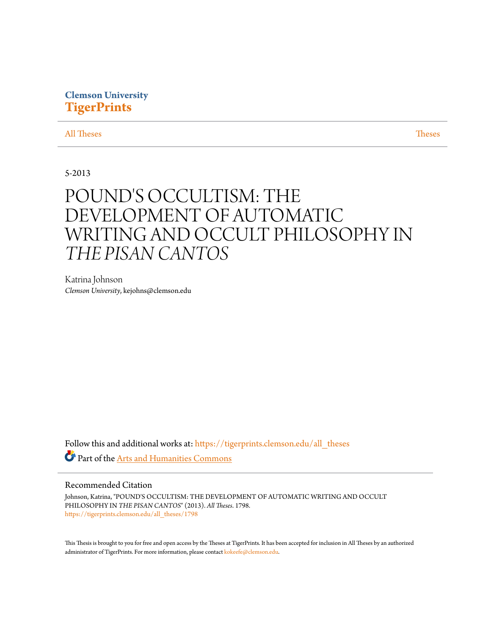### **Clemson University [TigerPrints](https://tigerprints.clemson.edu?utm_source=tigerprints.clemson.edu%2Fall_theses%2F1798&utm_medium=PDF&utm_campaign=PDFCoverPages)**

#### [All Theses](https://tigerprints.clemson.edu/all_theses?utm_source=tigerprints.clemson.edu%2Fall_theses%2F1798&utm_medium=PDF&utm_campaign=PDFCoverPages) **[Theses](https://tigerprints.clemson.edu/theses?utm_source=tigerprints.clemson.edu%2Fall_theses%2F1798&utm_medium=PDF&utm_campaign=PDFCoverPages)**

#### 5-2013

# POUND'S OCCULTISM: THE DEVELOPMENT OF AUTOMATIC WRITING AND OCCULT PHILOSOPHY IN *THE PISAN CANTOS*

Katrina Johnson *Clemson University*, kejohns@clemson.edu

Follow this and additional works at: [https://tigerprints.clemson.edu/all\\_theses](https://tigerprints.clemson.edu/all_theses?utm_source=tigerprints.clemson.edu%2Fall_theses%2F1798&utm_medium=PDF&utm_campaign=PDFCoverPages) Part of the [Arts and Humanities Commons](http://network.bepress.com/hgg/discipline/438?utm_source=tigerprints.clemson.edu%2Fall_theses%2F1798&utm_medium=PDF&utm_campaign=PDFCoverPages)

#### Recommended Citation

Johnson, Katrina, "POUND'S OCCULTISM: THE DEVELOPMENT OF AUTOMATIC WRITING AND OCCULT PHILOSOPHY IN *THE PISAN CANTOS*" (2013). *All Theses*. 1798. [https://tigerprints.clemson.edu/all\\_theses/1798](https://tigerprints.clemson.edu/all_theses/1798?utm_source=tigerprints.clemson.edu%2Fall_theses%2F1798&utm_medium=PDF&utm_campaign=PDFCoverPages)

This Thesis is brought to you for free and open access by the Theses at TigerPrints. It has been accepted for inclusion in All Theses by an authorized administrator of TigerPrints. For more information, please contact [kokeefe@clemson.edu](mailto:kokeefe@clemson.edu).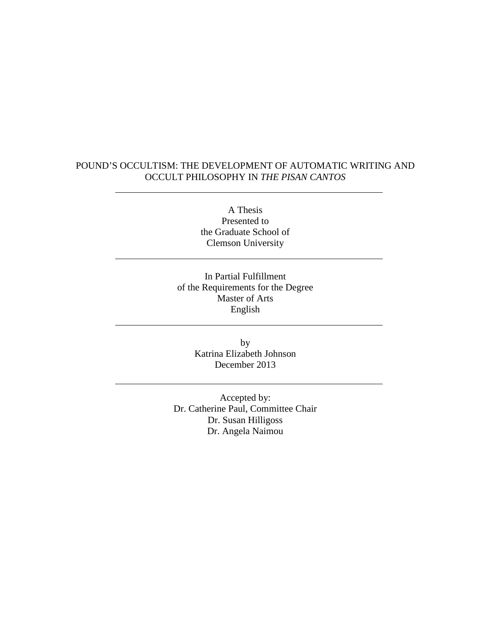#### POUND'S OCCULTISM: THE DEVELOPMENT OF AUTOMATIC WRITING AND OCCULT PHILOSOPHY IN *THE PISAN CANTOS*

A Thesis Presented to the Graduate School of Clemson University

In Partial Fulfillment of the Requirements for the Degree Master of Arts English

> by Katrina Elizabeth Johnson December 2013

Accepted by: Dr. Catherine Paul, Committee Chair Dr. Susan Hilligoss Dr. Angela Naimou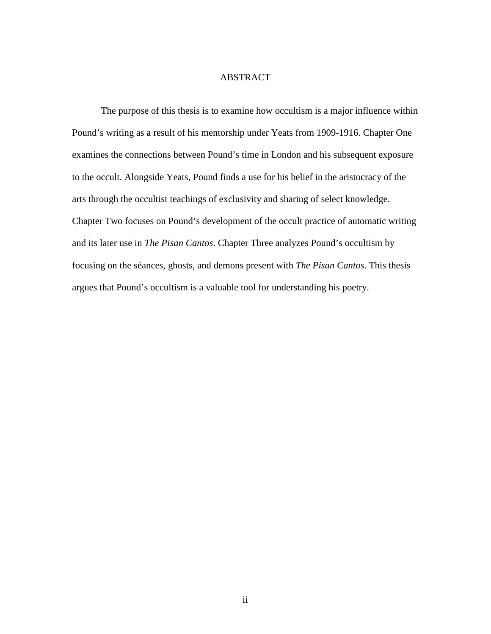#### ABSTRACT

The purpose of this thesis is to examine how occultism is a major influence within Pound's writing as a result of his mentorship under Yeats from 1909-1916. Chapter One examines the connections between Pound's time in London and his subsequent exposure to the occult. Alongside Yeats, Pound finds a use for his belief in the aristocracy of the arts through the occultist teachings of exclusivity and sharing of select knowledge. Chapter Two focuses on Pound's development of the occult practice of automatic writing and its later use in *The Pisan Cantos*. Chapter Three analyzes Pound's occultism by focusing on the séances, ghosts, and demons present with *The Pisan Cantos*. This thesis argues that Pound's occultism is a valuable tool for understanding his poetry.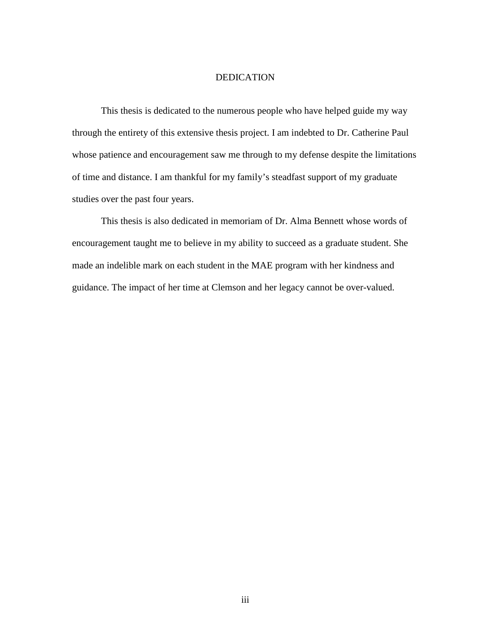#### DEDICATION

 This thesis is dedicated to the numerous people who have helped guide my way through the entirety of this extensive thesis project. I am indebted to Dr. Catherine Paul whose patience and encouragement saw me through to my defense despite the limitations of time and distance. I am thankful for my family's steadfast support of my graduate studies over the past four years.

This thesis is also dedicated in memoriam of Dr. Alma Bennett whose words of encouragement taught me to believe in my ability to succeed as a graduate student. She made an indelible mark on each student in the MAE program with her kindness and guidance. The impact of her time at Clemson and her legacy cannot be over-valued.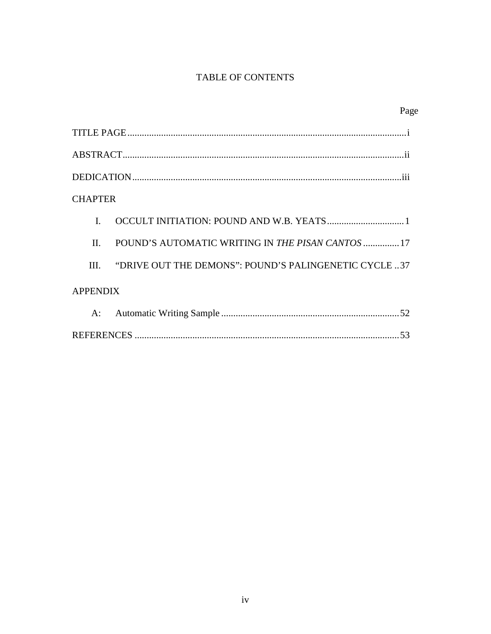## TABLE OF CONTENTS

|                 |                                                         | Page |
|-----------------|---------------------------------------------------------|------|
|                 |                                                         |      |
|                 |                                                         |      |
|                 |                                                         |      |
| <b>CHAPTER</b>  |                                                         |      |
| $\mathbf{I}$    |                                                         |      |
| II.             | POUND'S AUTOMATIC WRITING IN <i>THE PISAN CANTOS</i> 17 |      |
| III.            | "DRIVE OUT THE DEMONS": POUND'S PALINGENETIC CYCLE37    |      |
| <b>APPENDIX</b> |                                                         |      |
| A:              |                                                         |      |
| 53              |                                                         |      |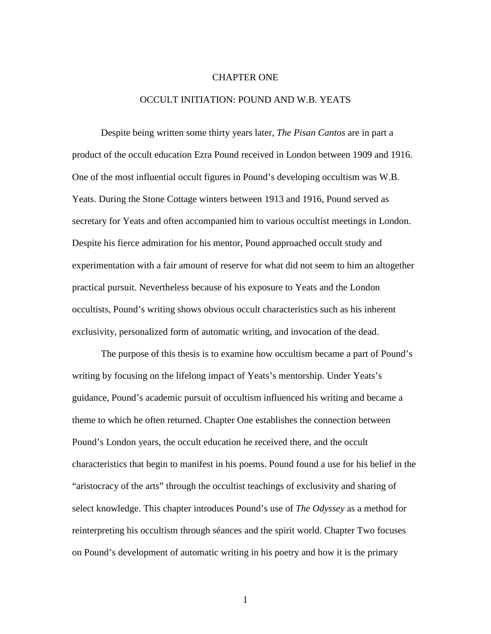#### CHAPTER ONE

#### OCCULT INITIATION: POUND AND W.B. YEATS

Despite being written some thirty years later, *The Pisan Cantos* are in part a product of the occult education Ezra Pound received in London between 1909 and 1916. One of the most influential occult figures in Pound's developing occultism was W.B. Yeats. During the Stone Cottage winters between 1913 and 1916, Pound served as secretary for Yeats and often accompanied him to various occultist meetings in London. Despite his fierce admiration for his mentor, Pound approached occult study and experimentation with a fair amount of reserve for what did not seem to him an altogether practical pursuit. Nevertheless because of his exposure to Yeats and the London occultists, Pound's writing shows obvious occult characteristics such as his inherent exclusivity, personalized form of automatic writing, and invocation of the dead.

The purpose of this thesis is to examine how occultism became a part of Pound's writing by focusing on the lifelong impact of Yeats's mentorship. Under Yeats's guidance, Pound's academic pursuit of occultism influenced his writing and became a theme to which he often returned. Chapter One establishes the connection between Pound's London years, the occult education he received there, and the occult characteristics that begin to manifest in his poems. Pound found a use for his belief in the "aristocracy of the arts" through the occultist teachings of exclusivity and sharing of select knowledge. This chapter introduces Pound's use of *The Odyssey* as a method for reinterpreting his occultism through séances and the spirit world. Chapter Two focuses on Pound's development of automatic writing in his poetry and how it is the primary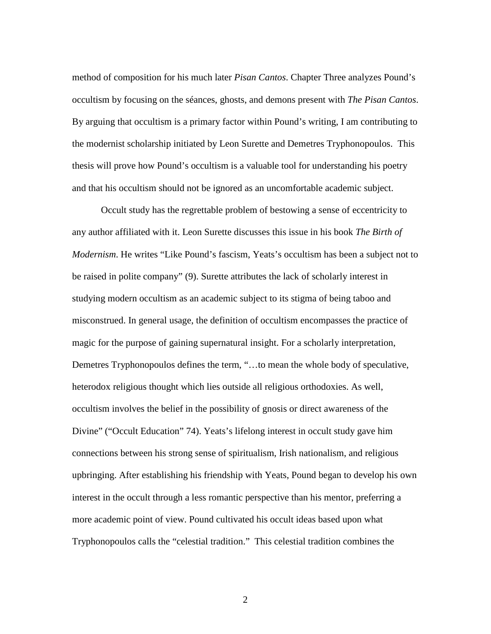method of composition for his much later *Pisan Cantos*. Chapter Three analyzes Pound's occultism by focusing on the séances, ghosts, and demons present with *The Pisan Cantos*. By arguing that occultism is a primary factor within Pound's writing, I am contributing to the modernist scholarship initiated by Leon Surette and Demetres Tryphonopoulos. This thesis will prove how Pound's occultism is a valuable tool for understanding his poetry and that his occultism should not be ignored as an uncomfortable academic subject.

Occult study has the regrettable problem of bestowing a sense of eccentricity to any author affiliated with it. Leon Surette discusses this issue in his book *The Birth of Modernism*. He writes "Like Pound's fascism, Yeats's occultism has been a subject not to be raised in polite company" (9). Surette attributes the lack of scholarly interest in studying modern occultism as an academic subject to its stigma of being taboo and misconstrued. In general usage, the definition of occultism encompasses the practice of magic for the purpose of gaining supernatural insight. For a scholarly interpretation, Demetres Tryphonopoulos defines the term, "…to mean the whole body of speculative, heterodox religious thought which lies outside all religious orthodoxies. As well, occultism involves the belief in the possibility of gnosis or direct awareness of the Divine" ("Occult Education" 74). Yeats's lifelong interest in occult study gave him connections between his strong sense of spiritualism, Irish nationalism, and religious upbringing. After establishing his friendship with Yeats, Pound began to develop his own interest in the occult through a less romantic perspective than his mentor, preferring a more academic point of view. Pound cultivated his occult ideas based upon what Tryphonopoulos calls the "celestial tradition." This celestial tradition combines the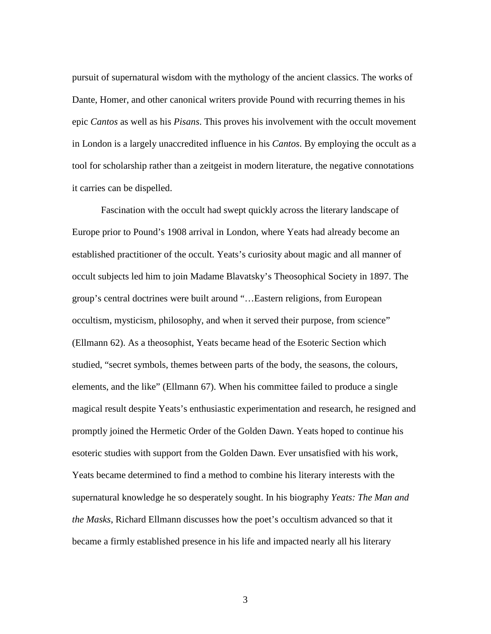pursuit of supernatural wisdom with the mythology of the ancient classics. The works of Dante, Homer, and other canonical writers provide Pound with recurring themes in his epic *Cantos* as well as his *Pisans*. This proves his involvement with the occult movement in London is a largely unaccredited influence in his *Cantos*. By employing the occult as a tool for scholarship rather than a zeitgeist in modern literature, the negative connotations it carries can be dispelled.

Fascination with the occult had swept quickly across the literary landscape of Europe prior to Pound's 1908 arrival in London, where Yeats had already become an established practitioner of the occult. Yeats's curiosity about magic and all manner of occult subjects led him to join Madame Blavatsky's Theosophical Society in 1897. The group's central doctrines were built around "…Eastern religions, from European occultism, mysticism, philosophy, and when it served their purpose, from science" (Ellmann 62). As a theosophist, Yeats became head of the Esoteric Section which studied, "secret symbols, themes between parts of the body, the seasons, the colours, elements, and the like" (Ellmann 67). When his committee failed to produce a single magical result despite Yeats's enthusiastic experimentation and research, he resigned and promptly joined the Hermetic Order of the Golden Dawn. Yeats hoped to continue his esoteric studies with support from the Golden Dawn. Ever unsatisfied with his work, Yeats became determined to find a method to combine his literary interests with the supernatural knowledge he so desperately sought. In his biography *Yeats: The Man and the Masks*, Richard Ellmann discusses how the poet's occultism advanced so that it became a firmly established presence in his life and impacted nearly all his literary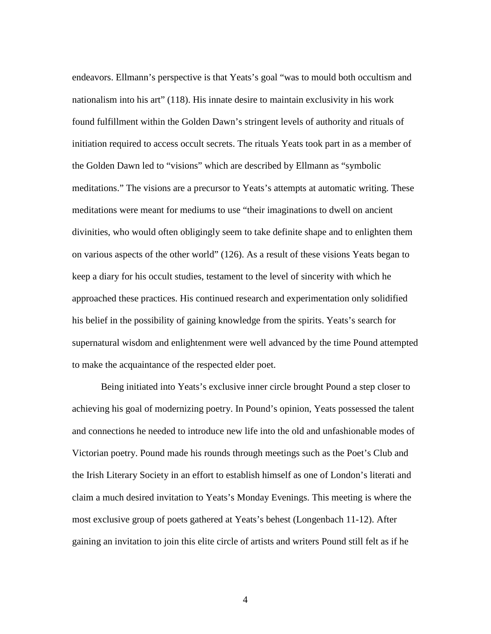endeavors. Ellmann's perspective is that Yeats's goal "was to mould both occultism and nationalism into his art" (118). His innate desire to maintain exclusivity in his work found fulfillment within the Golden Dawn's stringent levels of authority and rituals of initiation required to access occult secrets. The rituals Yeats took part in as a member of the Golden Dawn led to "visions" which are described by Ellmann as "symbolic meditations." The visions are a precursor to Yeats's attempts at automatic writing. These meditations were meant for mediums to use "their imaginations to dwell on ancient divinities, who would often obligingly seem to take definite shape and to enlighten them on various aspects of the other world" (126). As a result of these visions Yeats began to keep a diary for his occult studies, testament to the level of sincerity with which he approached these practices. His continued research and experimentation only solidified his belief in the possibility of gaining knowledge from the spirits. Yeats's search for supernatural wisdom and enlightenment were well advanced by the time Pound attempted to make the acquaintance of the respected elder poet.

Being initiated into Yeats's exclusive inner circle brought Pound a step closer to achieving his goal of modernizing poetry. In Pound's opinion, Yeats possessed the talent and connections he needed to introduce new life into the old and unfashionable modes of Victorian poetry. Pound made his rounds through meetings such as the Poet's Club and the Irish Literary Society in an effort to establish himself as one of London's literati and claim a much desired invitation to Yeats's Monday Evenings. This meeting is where the most exclusive group of poets gathered at Yeats's behest (Longenbach 11-12). After gaining an invitation to join this elite circle of artists and writers Pound still felt as if he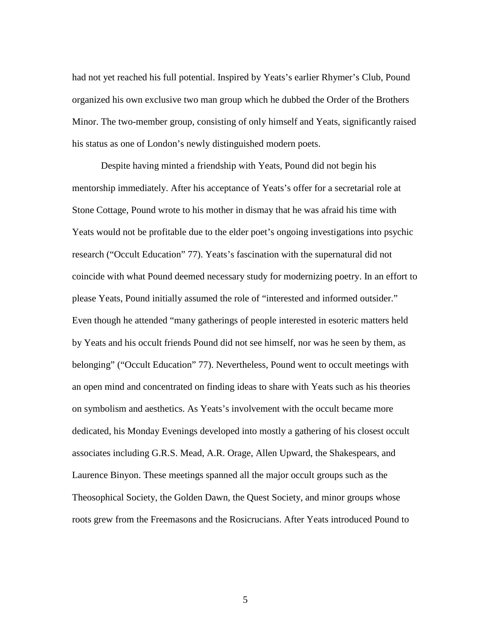had not yet reached his full potential. Inspired by Yeats's earlier Rhymer's Club, Pound organized his own exclusive two man group which he dubbed the Order of the Brothers Minor. The two-member group, consisting of only himself and Yeats, significantly raised his status as one of London's newly distinguished modern poets.

Despite having minted a friendship with Yeats, Pound did not begin his mentorship immediately. After his acceptance of Yeats's offer for a secretarial role at Stone Cottage, Pound wrote to his mother in dismay that he was afraid his time with Yeats would not be profitable due to the elder poet's ongoing investigations into psychic research ("Occult Education" 77). Yeats's fascination with the supernatural did not coincide with what Pound deemed necessary study for modernizing poetry. In an effort to please Yeats, Pound initially assumed the role of "interested and informed outsider." Even though he attended "many gatherings of people interested in esoteric matters held by Yeats and his occult friends Pound did not see himself, nor was he seen by them, as belonging" ("Occult Education" 77). Nevertheless, Pound went to occult meetings with an open mind and concentrated on finding ideas to share with Yeats such as his theories on symbolism and aesthetics. As Yeats's involvement with the occult became more dedicated, his Monday Evenings developed into mostly a gathering of his closest occult associates including G.R.S. Mead, A.R. Orage, Allen Upward, the Shakespears, and Laurence Binyon. These meetings spanned all the major occult groups such as the Theosophical Society, the Golden Dawn, the Quest Society, and minor groups whose roots grew from the Freemasons and the Rosicrucians. After Yeats introduced Pound to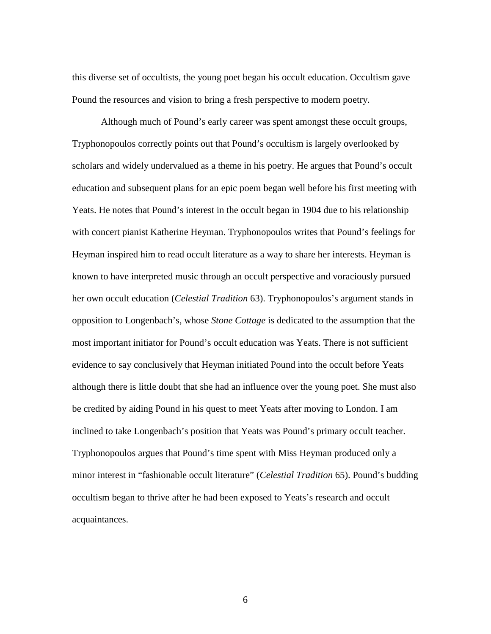this diverse set of occultists, the young poet began his occult education. Occultism gave Pound the resources and vision to bring a fresh perspective to modern poetry.

Although much of Pound's early career was spent amongst these occult groups, Tryphonopoulos correctly points out that Pound's occultism is largely overlooked by scholars and widely undervalued as a theme in his poetry. He argues that Pound's occult education and subsequent plans for an epic poem began well before his first meeting with Yeats. He notes that Pound's interest in the occult began in 1904 due to his relationship with concert pianist Katherine Heyman. Tryphonopoulos writes that Pound's feelings for Heyman inspired him to read occult literature as a way to share her interests. Heyman is known to have interpreted music through an occult perspective and voraciously pursued her own occult education (*Celestial Tradition* 63). Tryphonopoulos's argument stands in opposition to Longenbach's, whose *Stone Cottage* is dedicated to the assumption that the most important initiator for Pound's occult education was Yeats. There is not sufficient evidence to say conclusively that Heyman initiated Pound into the occult before Yeats although there is little doubt that she had an influence over the young poet. She must also be credited by aiding Pound in his quest to meet Yeats after moving to London. I am inclined to take Longenbach's position that Yeats was Pound's primary occult teacher. Tryphonopoulos argues that Pound's time spent with Miss Heyman produced only a minor interest in "fashionable occult literature" (*Celestial Tradition* 65). Pound's budding occultism began to thrive after he had been exposed to Yeats's research and occult acquaintances.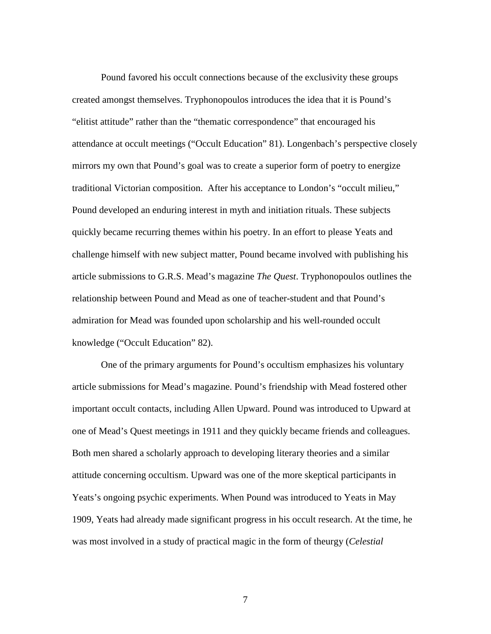Pound favored his occult connections because of the exclusivity these groups created amongst themselves. Tryphonopoulos introduces the idea that it is Pound's "elitist attitude" rather than the "thematic correspondence" that encouraged his attendance at occult meetings ("Occult Education" 81). Longenbach's perspective closely mirrors my own that Pound's goal was to create a superior form of poetry to energize traditional Victorian composition. After his acceptance to London's "occult milieu," Pound developed an enduring interest in myth and initiation rituals. These subjects quickly became recurring themes within his poetry. In an effort to please Yeats and challenge himself with new subject matter, Pound became involved with publishing his article submissions to G.R.S. Mead's magazine *The Quest*. Tryphonopoulos outlines the relationship between Pound and Mead as one of teacher-student and that Pound's admiration for Mead was founded upon scholarship and his well-rounded occult knowledge ("Occult Education" 82).

One of the primary arguments for Pound's occultism emphasizes his voluntary article submissions for Mead's magazine. Pound's friendship with Mead fostered other important occult contacts, including Allen Upward. Pound was introduced to Upward at one of Mead's Quest meetings in 1911 and they quickly became friends and colleagues. Both men shared a scholarly approach to developing literary theories and a similar attitude concerning occultism. Upward was one of the more skeptical participants in Yeats's ongoing psychic experiments. When Pound was introduced to Yeats in May 1909, Yeats had already made significant progress in his occult research. At the time, he was most involved in a study of practical magic in the form of theurgy (*Celestial*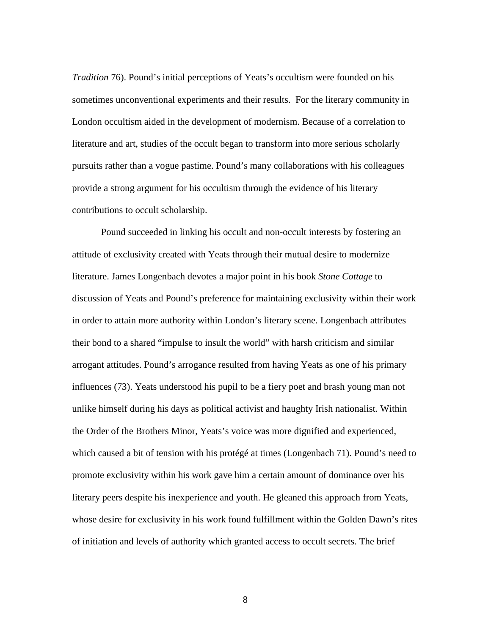*Tradition* 76). Pound's initial perceptions of Yeats's occultism were founded on his sometimes unconventional experiments and their results. For the literary community in London occultism aided in the development of modernism. Because of a correlation to literature and art, studies of the occult began to transform into more serious scholarly pursuits rather than a vogue pastime. Pound's many collaborations with his colleagues provide a strong argument for his occultism through the evidence of his literary contributions to occult scholarship.

Pound succeeded in linking his occult and non-occult interests by fostering an attitude of exclusivity created with Yeats through their mutual desire to modernize literature. James Longenbach devotes a major point in his book *Stone Cottage* to discussion of Yeats and Pound's preference for maintaining exclusivity within their work in order to attain more authority within London's literary scene. Longenbach attributes their bond to a shared "impulse to insult the world" with harsh criticism and similar arrogant attitudes. Pound's arrogance resulted from having Yeats as one of his primary influences (73). Yeats understood his pupil to be a fiery poet and brash young man not unlike himself during his days as political activist and haughty Irish nationalist. Within the Order of the Brothers Minor, Yeats's voice was more dignified and experienced, which caused a bit of tension with his protégé at times (Longenbach 71). Pound's need to promote exclusivity within his work gave him a certain amount of dominance over his literary peers despite his inexperience and youth. He gleaned this approach from Yeats, whose desire for exclusivity in his work found fulfillment within the Golden Dawn's rites of initiation and levels of authority which granted access to occult secrets. The brief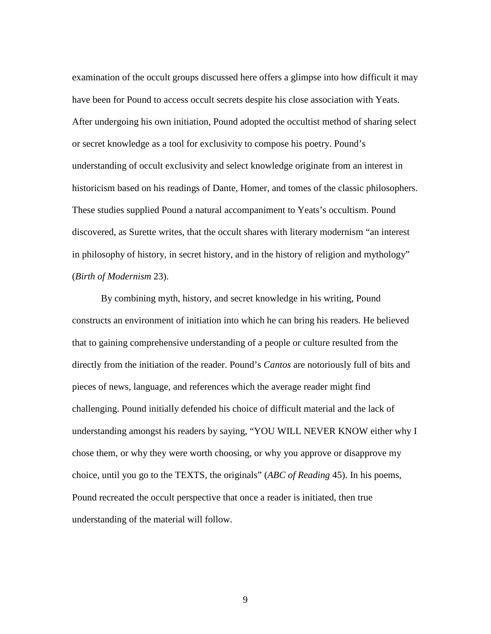examination of the occult groups discussed here offers a glimpse into how difficult it may have been for Pound to access occult secrets despite his close association with Yeats. After undergoing his own initiation, Pound adopted the occultist method of sharing select or secret knowledge as a tool for exclusivity to compose his poetry. Pound's understanding of occult exclusivity and select knowledge originate from an interest in historicism based on his readings of Dante, Homer, and tomes of the classic philosophers. These studies supplied Pound a natural accompaniment to Yeats's occultism. Pound discovered, as Surette writes, that the occult shares with literary modernism "an interest in philosophy of history, in secret history, and in the history of religion and mythology" (*Birth of Modernism* 23).

By combining myth, history, and secret knowledge in his writing, Pound constructs an environment of initiation into which he can bring his readers. He believed that to gaining comprehensive understanding of a people or culture resulted from the directly from the initiation of the reader. Pound's *Cantos* are notoriously full of bits and pieces of news, language, and references which the average reader might find challenging. Pound initially defended his choice of difficult material and the lack of understanding amongst his readers by saying, "YOU WILL NEVER KNOW either why I chose them, or why they were worth choosing, or why you approve or disapprove my choice, until you go to the TEXTS, the originals" (*ABC of Reading* 45). In his poems, Pound recreated the occult perspective that once a reader is initiated, then true understanding of the material will follow.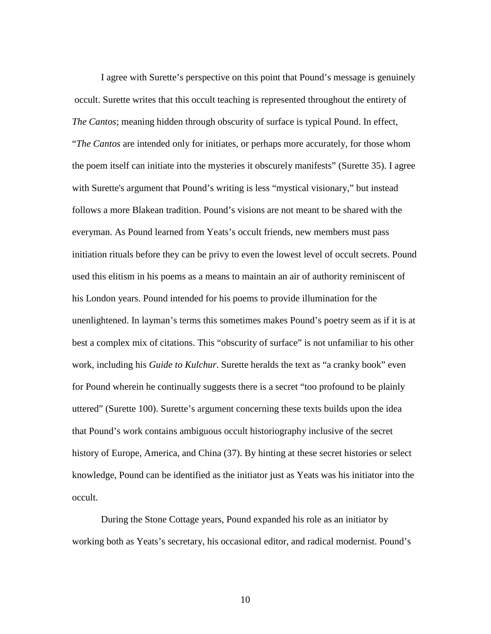I agree with Surette's perspective on this point that Pound's message is genuinely occult. Surette writes that this occult teaching is represented throughout the entirety of *The Cantos*; meaning hidden through obscurity of surface is typical Pound. In effect, "*The Cantos* are intended only for initiates, or perhaps more accurately, for those whom the poem itself can initiate into the mysteries it obscurely manifests" (Surette 35). I agree with Surette's argument that Pound's writing is less "mystical visionary," but instead follows a more Blakean tradition. Pound's visions are not meant to be shared with the everyman. As Pound learned from Yeats's occult friends, new members must pass initiation rituals before they can be privy to even the lowest level of occult secrets. Pound used this elitism in his poems as a means to maintain an air of authority reminiscent of his London years. Pound intended for his poems to provide illumination for the unenlightened. In layman's terms this sometimes makes Pound's poetry seem as if it is at best a complex mix of citations. This "obscurity of surface" is not unfamiliar to his other work, including his *Guide to Kulchur*. Surette heralds the text as "a cranky book" even for Pound wherein he continually suggests there is a secret "too profound to be plainly uttered" (Surette 100). Surette's argument concerning these texts builds upon the idea that Pound's work contains ambiguous occult historiography inclusive of the secret history of Europe, America, and China (37). By hinting at these secret histories or select knowledge, Pound can be identified as the initiator just as Yeats was his initiator into the occult.

During the Stone Cottage years, Pound expanded his role as an initiator by working both as Yeats's secretary, his occasional editor, and radical modernist. Pound's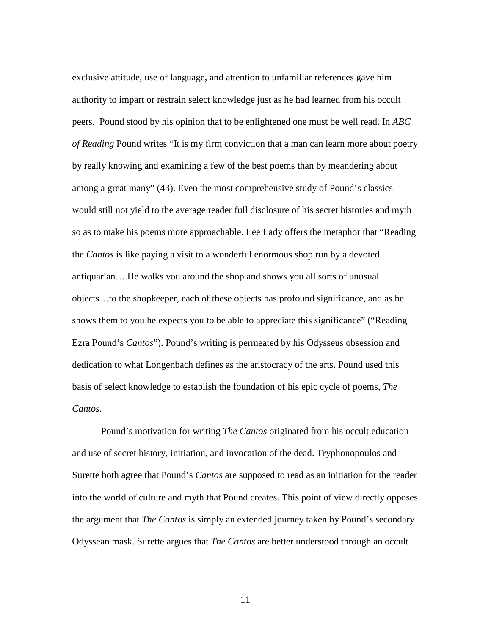exclusive attitude, use of language, and attention to unfamiliar references gave him authority to impart or restrain select knowledge just as he had learned from his occult peers. Pound stood by his opinion that to be enlightened one must be well read. In *ABC of Reading* Pound writes "It is my firm conviction that a man can learn more about poetry by really knowing and examining a few of the best poems than by meandering about among a great many" (43). Even the most comprehensive study of Pound's classics would still not yield to the average reader full disclosure of his secret histories and myth so as to make his poems more approachable. Lee Lady offers the metaphor that "Reading the *Cantos* is like paying a visit to a wonderful enormous shop run by a devoted antiquarian….He walks you around the shop and shows you all sorts of unusual objects…to the shopkeeper, each of these objects has profound significance, and as he shows them to you he expects you to be able to appreciate this significance" ("Reading Ezra Pound's *Cantos*"). Pound's writing is permeated by his Odysseus obsession and dedication to what Longenbach defines as the aristocracy of the arts. Pound used this basis of select knowledge to establish the foundation of his epic cycle of poems, *The Cantos*.

Pound's motivation for writing *The Cantos* originated from his occult education and use of secret history, initiation, and invocation of the dead. Tryphonopoulos and Surette both agree that Pound's *Cantos* are supposed to read as an initiation for the reader into the world of culture and myth that Pound creates. This point of view directly opposes the argument that *The Cantos* is simply an extended journey taken by Pound's secondary Odyssean mask. Surette argues that *The Cantos* are better understood through an occult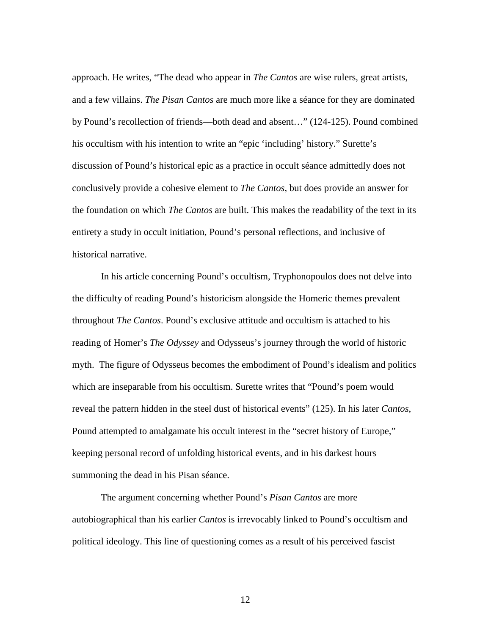approach. He writes, "The dead who appear in *The Cantos* are wise rulers, great artists, and a few villains. *The Pisan Cantos* are much more like a séance for they are dominated by Pound's recollection of friends—both dead and absent…" (124-125). Pound combined his occultism with his intention to write an "epic 'including' history." Surette's discussion of Pound's historical epic as a practice in occult séance admittedly does not conclusively provide a cohesive element to *The Cantos*, but does provide an answer for the foundation on which *The Cantos* are built. This makes the readability of the text in its entirety a study in occult initiation, Pound's personal reflections, and inclusive of historical narrative.

In his article concerning Pound's occultism, Tryphonopoulos does not delve into the difficulty of reading Pound's historicism alongside the Homeric themes prevalent throughout *The Cantos*. Pound's exclusive attitude and occultism is attached to his reading of Homer's *The Odyssey* and Odysseus's journey through the world of historic myth. The figure of Odysseus becomes the embodiment of Pound's idealism and politics which are inseparable from his occultism. Surette writes that "Pound's poem would reveal the pattern hidden in the steel dust of historical events" (125). In his later *Cantos*, Pound attempted to amalgamate his occult interest in the "secret history of Europe," keeping personal record of unfolding historical events, and in his darkest hours summoning the dead in his Pisan séance.

The argument concerning whether Pound's *Pisan Cantos* are more autobiographical than his earlier *Cantos* is irrevocably linked to Pound's occultism and political ideology. This line of questioning comes as a result of his perceived fascist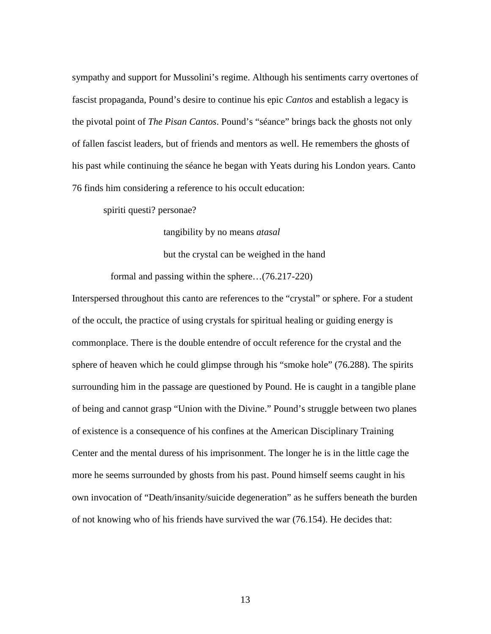sympathy and support for Mussolini's regime. Although his sentiments carry overtones of fascist propaganda, Pound's desire to continue his epic *Cantos* and establish a legacy is the pivotal point of *The Pisan Cantos*. Pound's "séance" brings back the ghosts not only of fallen fascist leaders, but of friends and mentors as well. He remembers the ghosts of his past while continuing the séance he began with Yeats during his London years. Canto 76 finds him considering a reference to his occult education:

spiriti questi? personae?

tangibility by no means *atasal*

but the crystal can be weighed in the hand

formal and passing within the sphere…(76.217-220)

Interspersed throughout this canto are references to the "crystal" or sphere. For a student of the occult, the practice of using crystals for spiritual healing or guiding energy is commonplace. There is the double entendre of occult reference for the crystal and the sphere of heaven which he could glimpse through his "smoke hole" (76.288). The spirits surrounding him in the passage are questioned by Pound. He is caught in a tangible plane of being and cannot grasp "Union with the Divine." Pound's struggle between two planes of existence is a consequence of his confines at the American Disciplinary Training Center and the mental duress of his imprisonment. The longer he is in the little cage the more he seems surrounded by ghosts from his past. Pound himself seems caught in his own invocation of "Death/insanity/suicide degeneration" as he suffers beneath the burden of not knowing who of his friends have survived the war (76.154). He decides that: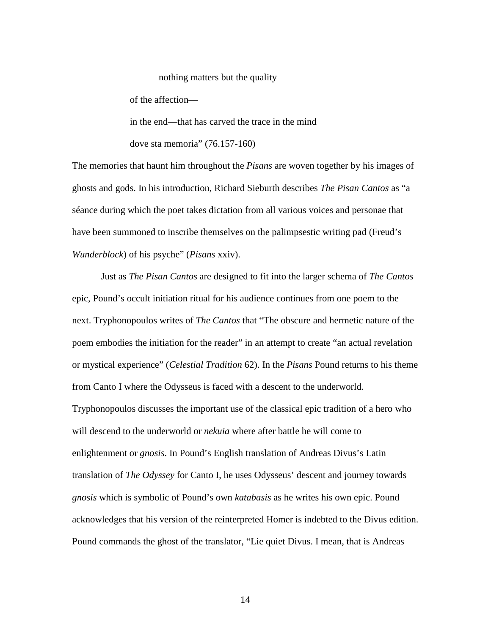nothing matters but the quality of the affection in the end—that has carved the trace in the mind dove sta memoria" (76.157-160)

The memories that haunt him throughout the *Pisans* are woven together by his images of ghosts and gods. In his introduction, Richard Sieburth describes *The Pisan Cantos* as "a séance during which the poet takes dictation from all various voices and personae that have been summoned to inscribe themselves on the palimpsestic writing pad (Freud's *Wunderblock*) of his psyche" (*Pisans* xxiv).

Just as *The Pisan Cantos* are designed to fit into the larger schema of *The Cantos*  epic, Pound's occult initiation ritual for his audience continues from one poem to the next. Tryphonopoulos writes of *The Cantos* that "The obscure and hermetic nature of the poem embodies the initiation for the reader" in an attempt to create "an actual revelation or mystical experience" (*Celestial Tradition* 62). In the *Pisans* Pound returns to his theme from Canto I where the Odysseus is faced with a descent to the underworld. Tryphonopoulos discusses the important use of the classical epic tradition of a hero who will descend to the underworld or *nekuia* where after battle he will come to enlightenment or *gnosis*. In Pound's English translation of Andreas Divus's Latin translation of *The Odyssey* for Canto I, he uses Odysseus' descent and journey towards *gnosis* which is symbolic of Pound's own *katabasis* as he writes his own epic. Pound acknowledges that his version of the reinterpreted Homer is indebted to the Divus edition. Pound commands the ghost of the translator, "Lie quiet Divus. I mean, that is Andreas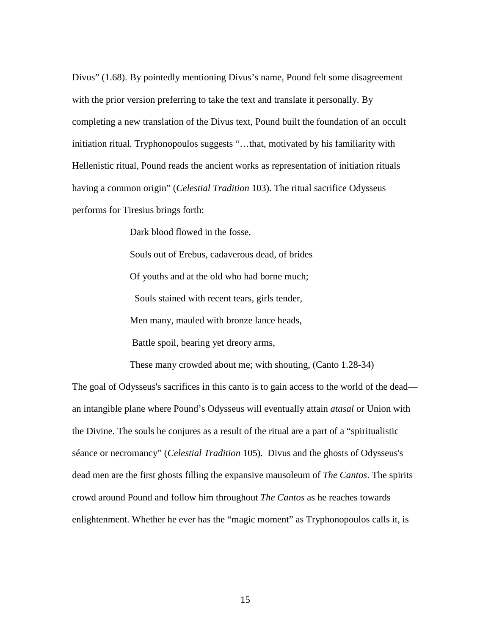Divus" (1.68). By pointedly mentioning Divus's name, Pound felt some disagreement with the prior version preferring to take the text and translate it personally. By completing a new translation of the Divus text, Pound built the foundation of an occult initiation ritual. Tryphonopoulos suggests "…that, motivated by his familiarity with Hellenistic ritual, Pound reads the ancient works as representation of initiation rituals having a common origin" (*Celestial Tradition* 103). The ritual sacrifice Odysseus performs for Tiresius brings forth:

Dark blood flowed in the fosse,

 Souls out of Erebus, cadaverous dead, of brides Of youths and at the old who had borne much; Souls stained with recent tears, girls tender, Men many, mauled with bronze lance heads, Battle spoil, bearing yet dreory arms,

These many crowded about me; with shouting, (Canto 1.28-34)

The goal of Odysseus's sacrifices in this canto is to gain access to the world of the dead an intangible plane where Pound's Odysseus will eventually attain *atasal* or Union with the Divine. The souls he conjures as a result of the ritual are a part of a "spiritualistic séance or necromancy" (*Celestial Tradition* 105). Divus and the ghosts of Odysseus's dead men are the first ghosts filling the expansive mausoleum of *The Cantos*. The spirits crowd around Pound and follow him throughout *The Cantos* as he reaches towards enlightenment. Whether he ever has the "magic moment" as Tryphonopoulos calls it, is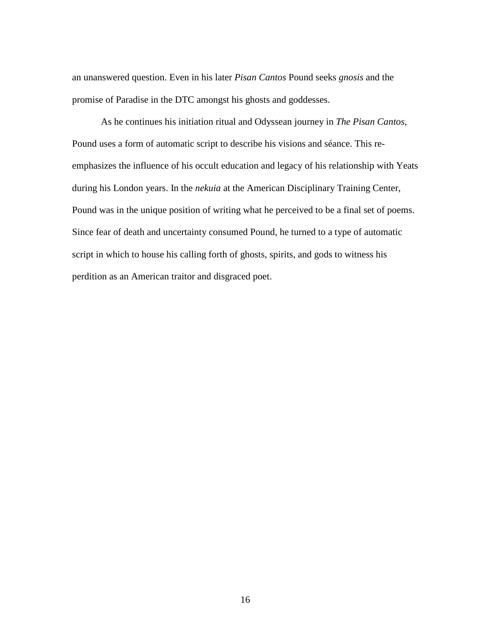an unanswered question. Even in his later *Pisan Cantos* Pound seeks *gnosis* and the promise of Paradise in the DTC amongst his ghosts and goddesses.

As he continues his initiation ritual and Odyssean journey in *The Pisan Cantos*, Pound uses a form of automatic script to describe his visions and séance. This reemphasizes the influence of his occult education and legacy of his relationship with Yeats during his London years. In the *nekuia* at the American Disciplinary Training Center, Pound was in the unique position of writing what he perceived to be a final set of poems. Since fear of death and uncertainty consumed Pound, he turned to a type of automatic script in which to house his calling forth of ghosts, spirits, and gods to witness his perdition as an American traitor and disgraced poet.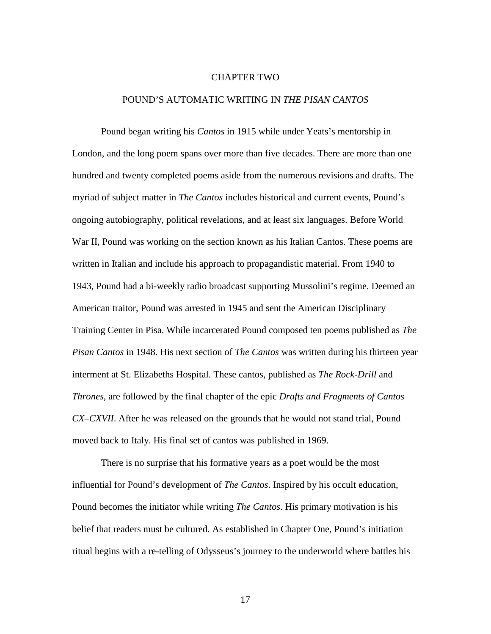#### CHAPTER TWO

#### POUND'S AUTOMATIC WRITING IN *THE PISAN CANTOS*

Pound began writing his *Cantos* in 1915 while under Yeats's mentorship in London, and the long poem spans over more than five decades. There are more than one hundred and twenty completed poems aside from the numerous revisions and drafts. The myriad of subject matter in *The Cantos* includes historical and current events, Pound's ongoing autobiography, political revelations, and at least six languages. Before World War II, Pound was working on the section known as his Italian Cantos. These poems are written in Italian and include his approach to propagandistic material. From 1940 to 1943, Pound had a bi-weekly radio broadcast supporting Mussolini's regime. Deemed an American traitor, Pound was arrested in 1945 and sent the American Disciplinary Training Center in Pisa. While incarcerated Pound composed ten poems published as *The Pisan Cantos* in 1948. His next section of *The Cantos* was written during his thirteen year interment at St. Elizabeths Hospital. These cantos, published as *The Rock-Drill* and *Thrones*, are followed by the final chapter of the epic *Drafts and Fragments of Cantos CX–CXVII*. After he was released on the grounds that he would not stand trial, Pound moved back to Italy. His final set of cantos was published in 1969.

There is no surprise that his formative years as a poet would be the most influential for Pound's development of *The Cantos*. Inspired by his occult education, Pound becomes the initiator while writing *The Cantos*. His primary motivation is his belief that readers must be cultured. As established in Chapter One, Pound's initiation ritual begins with a re-telling of Odysseus's journey to the underworld where battles his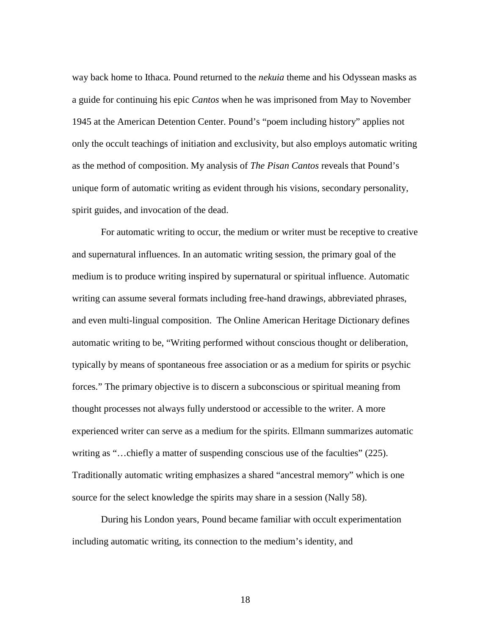way back home to Ithaca. Pound returned to the *nekuia* theme and his Odyssean masks as a guide for continuing his epic *Cantos* when he was imprisoned from May to November 1945 at the American Detention Center. Pound's "poem including history" applies not only the occult teachings of initiation and exclusivity, but also employs automatic writing as the method of composition. My analysis of *The Pisan Cantos* reveals that Pound's unique form of automatic writing as evident through his visions, secondary personality, spirit guides, and invocation of the dead.

For automatic writing to occur, the medium or writer must be receptive to creative and supernatural influences. In an automatic writing session, the primary goal of the medium is to produce writing inspired by supernatural or spiritual influence. Automatic writing can assume several formats including free-hand drawings, abbreviated phrases, and even multi-lingual composition. The Online American Heritage Dictionary defines automatic writing to be, "Writing performed without conscious thought or deliberation, typically by means of spontaneous free association or as a medium for spirits or psychic forces." The primary objective is to discern a subconscious or spiritual meaning from thought processes not always fully understood or accessible to the writer. A more experienced writer can serve as a medium for the spirits. Ellmann summarizes automatic writing as "...chiefly a matter of suspending conscious use of the faculties" (225). Traditionally automatic writing emphasizes a shared "ancestral memory" which is one source for the select knowledge the spirits may share in a session (Nally 58).

During his London years, Pound became familiar with occult experimentation including automatic writing, its connection to the medium's identity, and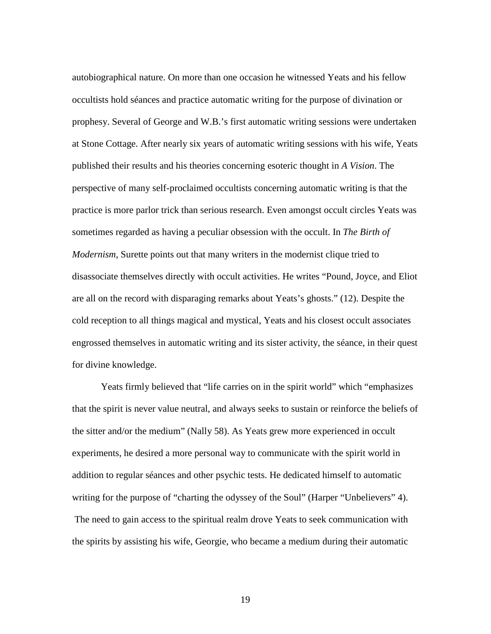autobiographical nature. On more than one occasion he witnessed Yeats and his fellow occultists hold séances and practice automatic writing for the purpose of divination or prophesy. Several of George and W.B.'s first automatic writing sessions were undertaken at Stone Cottage. After nearly six years of automatic writing sessions with his wife, Yeats published their results and his theories concerning esoteric thought in *A Vision*. The perspective of many self-proclaimed occultists concerning automatic writing is that the practice is more parlor trick than serious research. Even amongst occult circles Yeats was sometimes regarded as having a peculiar obsession with the occult. In *The Birth of Modernism*, Surette points out that many writers in the modernist clique tried to disassociate themselves directly with occult activities. He writes "Pound, Joyce, and Eliot are all on the record with disparaging remarks about Yeats's ghosts." (12). Despite the cold reception to all things magical and mystical, Yeats and his closest occult associates engrossed themselves in automatic writing and its sister activity, the séance, in their quest for divine knowledge.

Yeats firmly believed that "life carries on in the spirit world" which "emphasizes that the spirit is never value neutral, and always seeks to sustain or reinforce the beliefs of the sitter and/or the medium" (Nally 58). As Yeats grew more experienced in occult experiments, he desired a more personal way to communicate with the spirit world in addition to regular séances and other psychic tests. He dedicated himself to automatic writing for the purpose of "charting the odyssey of the Soul" (Harper "Unbelievers" 4). The need to gain access to the spiritual realm drove Yeats to seek communication with the spirits by assisting his wife, Georgie, who became a medium during their automatic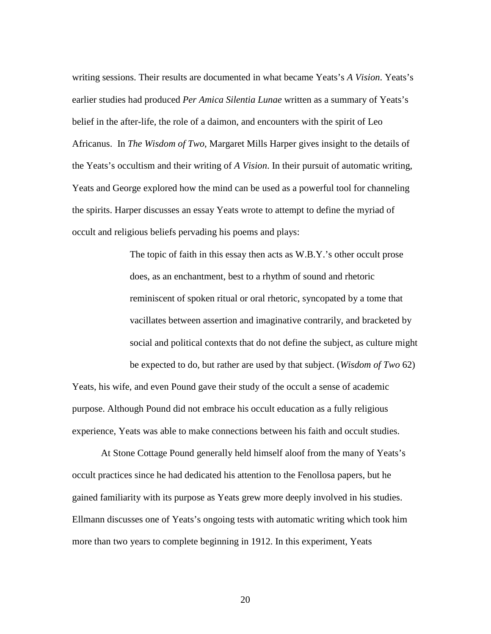writing sessions. Their results are documented in what became Yeats's *A Vision*. Yeats's earlier studies had produced *Per Amica Silentia Lunae* written as a summary of Yeats's belief in the after-life, the role of a daimon, and encounters with the spirit of Leo Africanus. In *The Wisdom of Two*, Margaret Mills Harper gives insight to the details of the Yeats's occultism and their writing of *A Vision*. In their pursuit of automatic writing, Yeats and George explored how the mind can be used as a powerful tool for channeling the spirits. Harper discusses an essay Yeats wrote to attempt to define the myriad of occult and religious beliefs pervading his poems and plays:

> The topic of faith in this essay then acts as W.B.Y.'s other occult prose does, as an enchantment, best to a rhythm of sound and rhetoric reminiscent of spoken ritual or oral rhetoric, syncopated by a tome that vacillates between assertion and imaginative contrarily, and bracketed by social and political contexts that do not define the subject, as culture might be expected to do, but rather are used by that subject. (*Wisdom of Two* 62)

Yeats, his wife, and even Pound gave their study of the occult a sense of academic purpose. Although Pound did not embrace his occult education as a fully religious experience, Yeats was able to make connections between his faith and occult studies.

At Stone Cottage Pound generally held himself aloof from the many of Yeats's occult practices since he had dedicated his attention to the Fenollosa papers, but he gained familiarity with its purpose as Yeats grew more deeply involved in his studies. Ellmann discusses one of Yeats's ongoing tests with automatic writing which took him more than two years to complete beginning in 1912. In this experiment, Yeats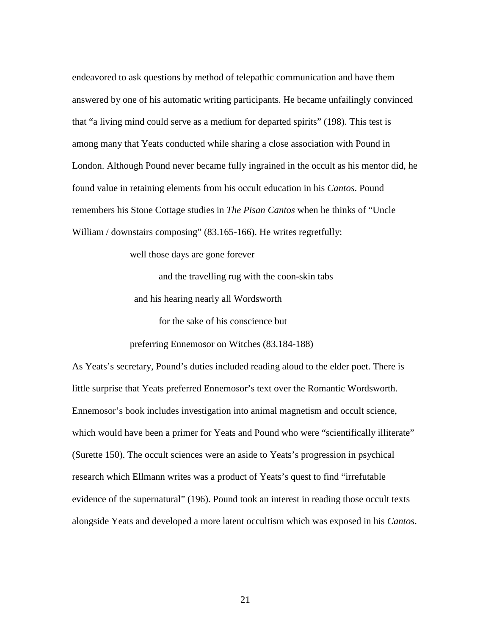endeavored to ask questions by method of telepathic communication and have them answered by one of his automatic writing participants. He became unfailingly convinced that "a living mind could serve as a medium for departed spirits" (198). This test is among many that Yeats conducted while sharing a close association with Pound in London. Although Pound never became fully ingrained in the occult as his mentor did, he found value in retaining elements from his occult education in his *Cantos*. Pound remembers his Stone Cottage studies in *The Pisan Cantos* when he thinks of "Uncle William / downstairs composing" (83.165-166). He writes regretfully:

well those days are gone forever

 and the travelling rug with the coon-skin tabs and his hearing nearly all Wordsworth

for the sake of his conscience but

preferring Ennemosor on Witches (83.184-188)

As Yeats's secretary, Pound's duties included reading aloud to the elder poet. There is little surprise that Yeats preferred Ennemosor's text over the Romantic Wordsworth. Ennemosor's book includes investigation into animal magnetism and occult science, which would have been a primer for Yeats and Pound who were "scientifically illiterate" (Surette 150). The occult sciences were an aside to Yeats's progression in psychical research which Ellmann writes was a product of Yeats's quest to find "irrefutable evidence of the supernatural" (196). Pound took an interest in reading those occult texts alongside Yeats and developed a more latent occultism which was exposed in his *Cantos*.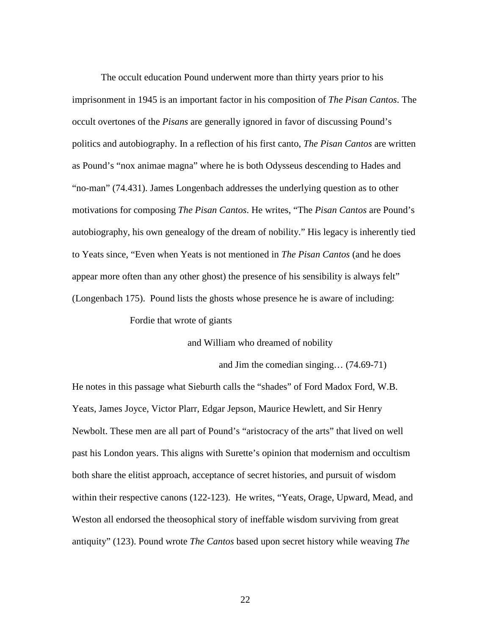The occult education Pound underwent more than thirty years prior to his imprisonment in 1945 is an important factor in his composition of *The Pisan Cantos*. The occult overtones of the *Pisans* are generally ignored in favor of discussing Pound's politics and autobiography. In a reflection of his first canto, *The Pisan Cantos* are written as Pound's "nox animae magna" where he is both Odysseus descending to Hades and "no-man" (74.431). James Longenbach addresses the underlying question as to other motivations for composing *The Pisan Cantos*. He writes, "The *Pisan Cantos* are Pound's autobiography, his own genealogy of the dream of nobility." His legacy is inherently tied to Yeats since, "Even when Yeats is not mentioned in *The Pisan Cantos* (and he does appear more often than any other ghost) the presence of his sensibility is always felt" (Longenbach 175). Pound lists the ghosts whose presence he is aware of including:

Fordie that wrote of giants

and William who dreamed of nobility

and Jim the comedian singing… (74.69-71)

He notes in this passage what Sieburth calls the "shades" of Ford Madox Ford, W.B. Yeats, James Joyce, Victor Plarr, Edgar Jepson, Maurice Hewlett, and Sir Henry Newbolt. These men are all part of Pound's "aristocracy of the arts" that lived on well past his London years. This aligns with Surette's opinion that modernism and occultism both share the elitist approach, acceptance of secret histories, and pursuit of wisdom within their respective canons (122-123). He writes, "Yeats, Orage, Upward, Mead, and Weston all endorsed the theosophical story of ineffable wisdom surviving from great antiquity" (123). Pound wrote *The Cantos* based upon secret history while weaving *The*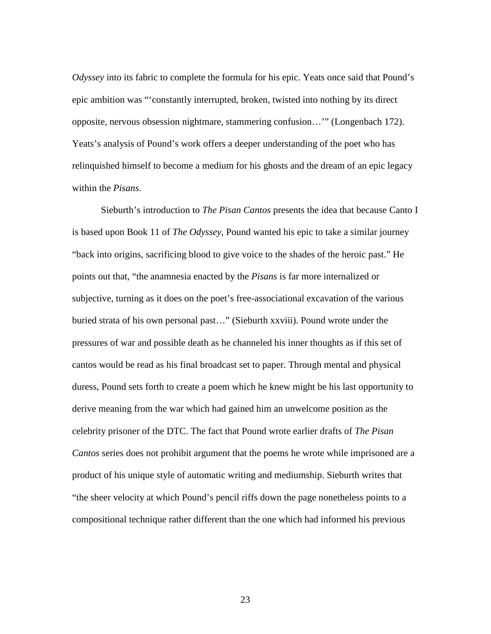*Odyssey* into its fabric to complete the formula for his epic. Yeats once said that Pound's epic ambition was "'constantly interrupted, broken, twisted into nothing by its direct opposite, nervous obsession nightmare, stammering confusion…'" (Longenbach 172). Yeats's analysis of Pound's work offers a deeper understanding of the poet who has relinquished himself to become a medium for his ghosts and the dream of an epic legacy within the *Pisans*.

Sieburth's introduction to *The Pisan Cantos* presents the idea that because Canto I is based upon Book 11 of *The Odyssey*, Pound wanted his epic to take a similar journey "back into origins, sacrificing blood to give voice to the shades of the heroic past." He points out that, "the anamnesia enacted by the *Pisans* is far more internalized or subjective, turning as it does on the poet's free-associational excavation of the various buried strata of his own personal past…" (Sieburth xxviii). Pound wrote under the pressures of war and possible death as he channeled his inner thoughts as if this set of cantos would be read as his final broadcast set to paper. Through mental and physical duress, Pound sets forth to create a poem which he knew might be his last opportunity to derive meaning from the war which had gained him an unwelcome position as the celebrity prisoner of the DTC. The fact that Pound wrote earlier drafts of *The Pisan Cantos* series does not prohibit argument that the poems he wrote while imprisoned are a product of his unique style of automatic writing and mediumship. Sieburth writes that "the sheer velocity at which Pound's pencil riffs down the page nonetheless points to a compositional technique rather different than the one which had informed his previous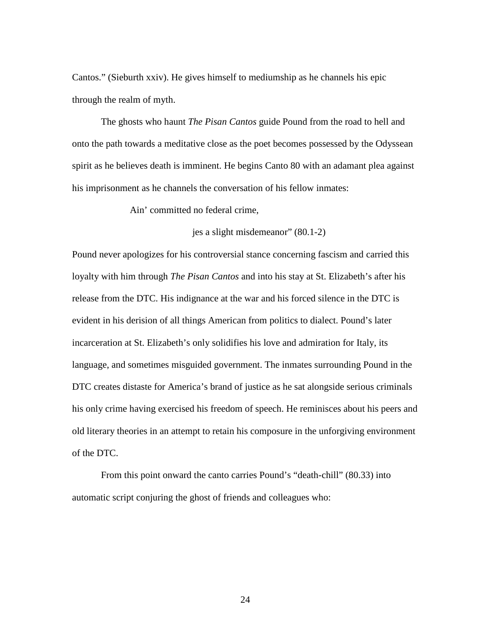Cantos." (Sieburth xxiv). He gives himself to mediumship as he channels his epic through the realm of myth.

The ghosts who haunt *The Pisan Cantos* guide Pound from the road to hell and onto the path towards a meditative close as the poet becomes possessed by the Odyssean spirit as he believes death is imminent. He begins Canto 80 with an adamant plea against his imprisonment as he channels the conversation of his fellow inmates:

Ain' committed no federal crime,

jes a slight misdemeanor" (80.1-2)

Pound never apologizes for his controversial stance concerning fascism and carried this loyalty with him through *The Pisan Cantos* and into his stay at St. Elizabeth's after his release from the DTC. His indignance at the war and his forced silence in the DTC is evident in his derision of all things American from politics to dialect. Pound's later incarceration at St. Elizabeth's only solidifies his love and admiration for Italy, its language, and sometimes misguided government. The inmates surrounding Pound in the DTC creates distaste for America's brand of justice as he sat alongside serious criminals his only crime having exercised his freedom of speech. He reminisces about his peers and old literary theories in an attempt to retain his composure in the unforgiving environment of the DTC.

From this point onward the canto carries Pound's "death-chill" (80.33) into automatic script conjuring the ghost of friends and colleagues who: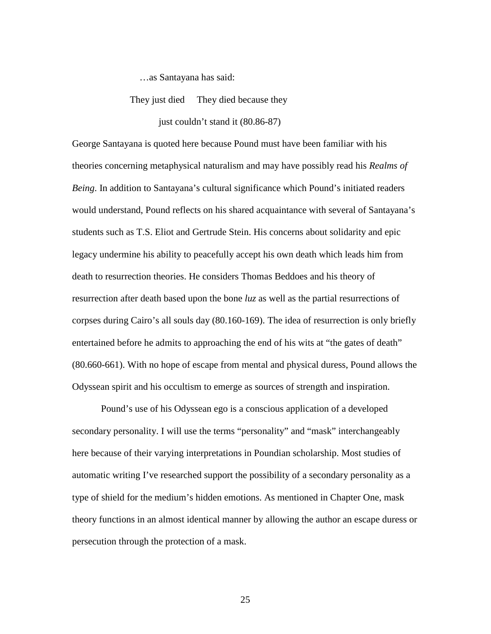…as Santayana has said:

They just died They died because they

just couldn't stand it (80.86-87)

George Santayana is quoted here because Pound must have been familiar with his theories concerning metaphysical naturalism and may have possibly read his *Realms of Being*. In addition to Santayana's cultural significance which Pound's initiated readers would understand, Pound reflects on his shared acquaintance with several of Santayana's students such as T.S. Eliot and Gertrude Stein. His concerns about solidarity and epic legacy undermine his ability to peacefully accept his own death which leads him from death to resurrection theories. He considers Thomas Beddoes and his theory of resurrection after death based upon the bone *luz* as well as the partial resurrections of corpses during Cairo's all souls day (80.160-169). The idea of resurrection is only briefly entertained before he admits to approaching the end of his wits at "the gates of death" (80.660-661). With no hope of escape from mental and physical duress, Pound allows the Odyssean spirit and his occultism to emerge as sources of strength and inspiration.

Pound's use of his Odyssean ego is a conscious application of a developed secondary personality. I will use the terms "personality" and "mask" interchangeably here because of their varying interpretations in Poundian scholarship. Most studies of automatic writing I've researched support the possibility of a secondary personality as a type of shield for the medium's hidden emotions. As mentioned in Chapter One, mask theory functions in an almost identical manner by allowing the author an escape duress or persecution through the protection of a mask.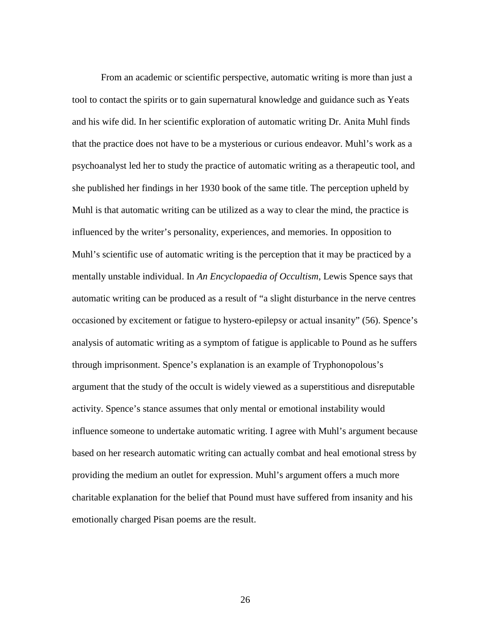From an academic or scientific perspective, automatic writing is more than just a tool to contact the spirits or to gain supernatural knowledge and guidance such as Yeats and his wife did. In her scientific exploration of automatic writing Dr. Anita Muhl finds that the practice does not have to be a mysterious or curious endeavor. Muhl's work as a psychoanalyst led her to study the practice of automatic writing as a therapeutic tool, and she published her findings in her 1930 book of the same title. The perception upheld by Muhl is that automatic writing can be utilized as a way to clear the mind, the practice is influenced by the writer's personality, experiences, and memories. In opposition to Muhl's scientific use of automatic writing is the perception that it may be practiced by a mentally unstable individual. In *An Encyclopaedia of Occultism*, Lewis Spence says that automatic writing can be produced as a result of "a slight disturbance in the nerve centres occasioned by excitement or fatigue to hystero-epilepsy or actual insanity" (56). Spence's analysis of automatic writing as a symptom of fatigue is applicable to Pound as he suffers through imprisonment. Spence's explanation is an example of Tryphonopolous's argument that the study of the occult is widely viewed as a superstitious and disreputable activity. Spence's stance assumes that only mental or emotional instability would influence someone to undertake automatic writing. I agree with Muhl's argument because based on her research automatic writing can actually combat and heal emotional stress by providing the medium an outlet for expression. Muhl's argument offers a much more charitable explanation for the belief that Pound must have suffered from insanity and his emotionally charged Pisan poems are the result.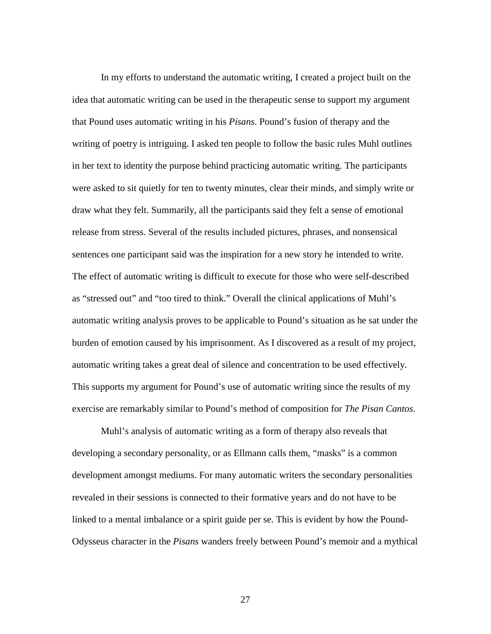In my efforts to understand the automatic writing, I created a project built on the idea that automatic writing can be used in the therapeutic sense to support my argument that Pound uses automatic writing in his *Pisans*. Pound's fusion of therapy and the writing of poetry is intriguing. I asked ten people to follow the basic rules Muhl outlines in her text to identity the purpose behind practicing automatic writing. The participants were asked to sit quietly for ten to twenty minutes, clear their minds, and simply write or draw what they felt. Summarily, all the participants said they felt a sense of emotional release from stress. Several of the results included pictures, phrases, and nonsensical sentences one participant said was the inspiration for a new story he intended to write. The effect of automatic writing is difficult to execute for those who were self-described as "stressed out" and "too tired to think." Overall the clinical applications of Muhl's automatic writing analysis proves to be applicable to Pound's situation as he sat under the burden of emotion caused by his imprisonment. As I discovered as a result of my project, automatic writing takes a great deal of silence and concentration to be used effectively. This supports my argument for Pound's use of automatic writing since the results of my exercise are remarkably similar to Pound's method of composition for *The Pisan Cantos*.

Muhl's analysis of automatic writing as a form of therapy also reveals that developing a secondary personality, or as Ellmann calls them, "masks" is a common development amongst mediums. For many automatic writers the secondary personalities revealed in their sessions is connected to their formative years and do not have to be linked to a mental imbalance or a spirit guide per se. This is evident by how the Pound-Odysseus character in the *Pisans* wanders freely between Pound's memoir and a mythical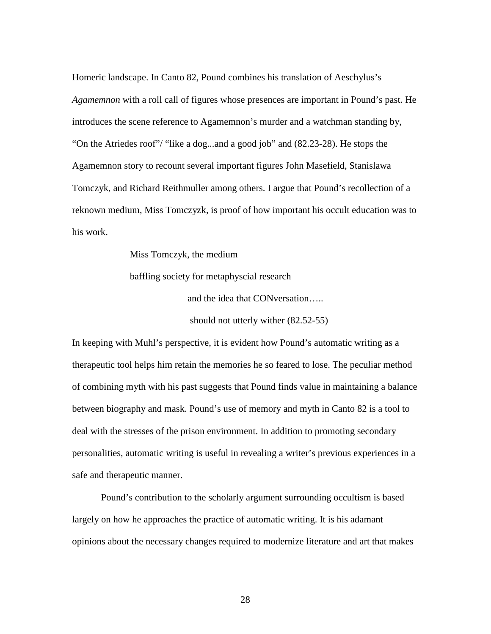Homeric landscape. In Canto 82, Pound combines his translation of Aeschylus's *Agamemnon* with a roll call of figures whose presences are important in Pound's past. He introduces the scene reference to Agamemnon's murder and a watchman standing by, "On the Atriedes roof"/ "like a dog...and a good job" and (82.23-28). He stops the Agamemnon story to recount several important figures John Masefield, Stanislawa Tomczyk, and Richard Reithmuller among others. I argue that Pound's recollection of a reknown medium, Miss Tomczyzk, is proof of how important his occult education was to his work.

> Miss Tomczyk, the medium baffling society for metaphyscial research and the idea that CONversation…..

> > should not utterly wither (82.52-55)

In keeping with Muhl's perspective, it is evident how Pound's automatic writing as a therapeutic tool helps him retain the memories he so feared to lose. The peculiar method of combining myth with his past suggests that Pound finds value in maintaining a balance between biography and mask. Pound's use of memory and myth in Canto 82 is a tool to deal with the stresses of the prison environment. In addition to promoting secondary personalities, automatic writing is useful in revealing a writer's previous experiences in a safe and therapeutic manner.

Pound's contribution to the scholarly argument surrounding occultism is based largely on how he approaches the practice of automatic writing. It is his adamant opinions about the necessary changes required to modernize literature and art that makes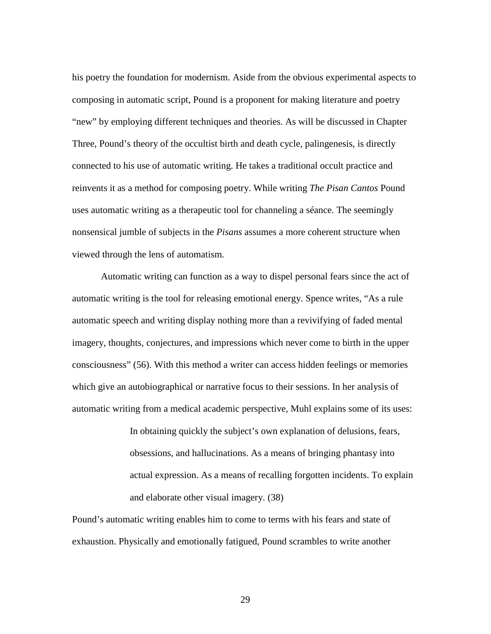his poetry the foundation for modernism. Aside from the obvious experimental aspects to composing in automatic script, Pound is a proponent for making literature and poetry "new" by employing different techniques and theories. As will be discussed in Chapter Three, Pound's theory of the occultist birth and death cycle, palingenesis, is directly connected to his use of automatic writing. He takes a traditional occult practice and reinvents it as a method for composing poetry. While writing *The Pisan Cantos* Pound uses automatic writing as a therapeutic tool for channeling a séance. The seemingly nonsensical jumble of subjects in the *Pisans* assumes a more coherent structure when viewed through the lens of automatism*.* 

Automatic writing can function as a way to dispel personal fears since the act of automatic writing is the tool for releasing emotional energy. Spence writes, "As a rule automatic speech and writing display nothing more than a revivifying of faded mental imagery, thoughts, conjectures, and impressions which never come to birth in the upper consciousness" (56). With this method a writer can access hidden feelings or memories which give an autobiographical or narrative focus to their sessions. In her analysis of automatic writing from a medical academic perspective, Muhl explains some of its uses:

> In obtaining quickly the subject's own explanation of delusions, fears, obsessions, and hallucinations. As a means of bringing phantasy into actual expression. As a means of recalling forgotten incidents. To explain and elaborate other visual imagery. (38)

Pound's automatic writing enables him to come to terms with his fears and state of exhaustion. Physically and emotionally fatigued, Pound scrambles to write another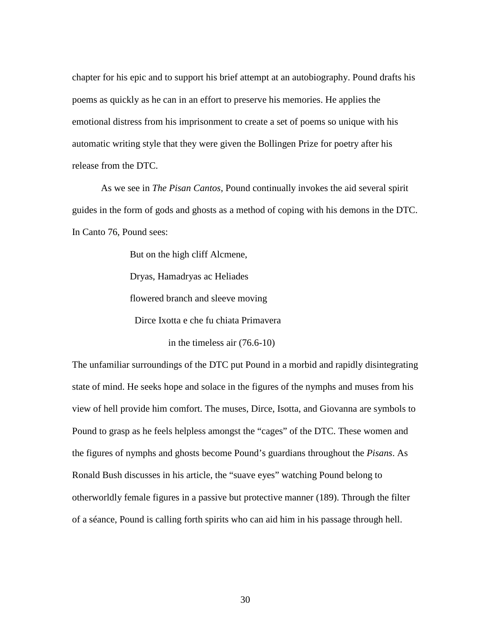chapter for his epic and to support his brief attempt at an autobiography. Pound drafts his poems as quickly as he can in an effort to preserve his memories. He applies the emotional distress from his imprisonment to create a set of poems so unique with his automatic writing style that they were given the Bollingen Prize for poetry after his release from the DTC.

As we see in *The Pisan Cantos*, Pound continually invokes the aid several spirit guides in the form of gods and ghosts as a method of coping with his demons in the DTC. In Canto 76, Pound sees:

But on the high cliff Alcmene,

Dryas, Hamadryas ac Heliades

flowered branch and sleeve moving

Dirce Ixotta e che fu chiata Primavera

in the timeless air (76.6-10)

The unfamiliar surroundings of the DTC put Pound in a morbid and rapidly disintegrating state of mind. He seeks hope and solace in the figures of the nymphs and muses from his view of hell provide him comfort. The muses, Dirce, Isotta, and Giovanna are symbols to Pound to grasp as he feels helpless amongst the "cages" of the DTC. These women and the figures of nymphs and ghosts become Pound's guardians throughout the *Pisans*. As Ronald Bush discusses in his article, the "suave eyes" watching Pound belong to otherworldly female figures in a passive but protective manner (189). Through the filter of a séance, Pound is calling forth spirits who can aid him in his passage through hell.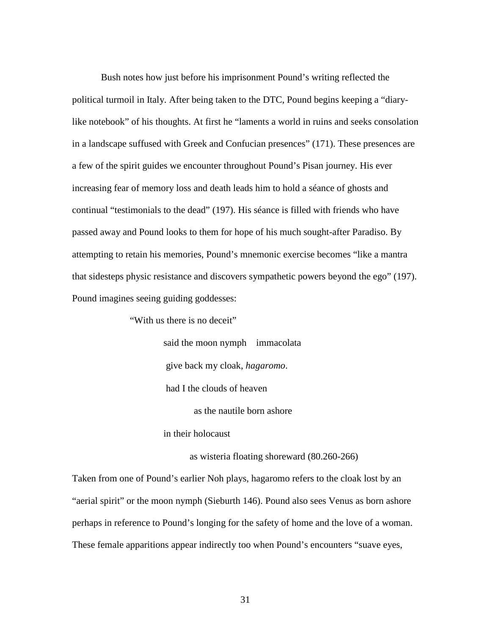Bush notes how just before his imprisonment Pound's writing reflected the political turmoil in Italy. After being taken to the DTC, Pound begins keeping a "diarylike notebook" of his thoughts. At first he "laments a world in ruins and seeks consolation in a landscape suffused with Greek and Confucian presences" (171). These presences are a few of the spirit guides we encounter throughout Pound's Pisan journey. His ever increasing fear of memory loss and death leads him to hold a séance of ghosts and continual "testimonials to the dead" (197). His séance is filled with friends who have passed away and Pound looks to them for hope of his much sought-after Paradiso. By attempting to retain his memories, Pound's mnemonic exercise becomes "like a mantra that sidesteps physic resistance and discovers sympathetic powers beyond the ego" (197). Pound imagines seeing guiding goddesses:

"With us there is no deceit"

 said the moon nymph immacolata give back my cloak, *hagaromo*. had I the clouds of heaven as the nautile born ashore

in their holocaust

as wisteria floating shoreward (80.260-266)

Taken from one of Pound's earlier Noh plays, hagaromo refers to the cloak lost by an "aerial spirit" or the moon nymph (Sieburth 146). Pound also sees Venus as born ashore perhaps in reference to Pound's longing for the safety of home and the love of a woman. These female apparitions appear indirectly too when Pound's encounters "suave eyes,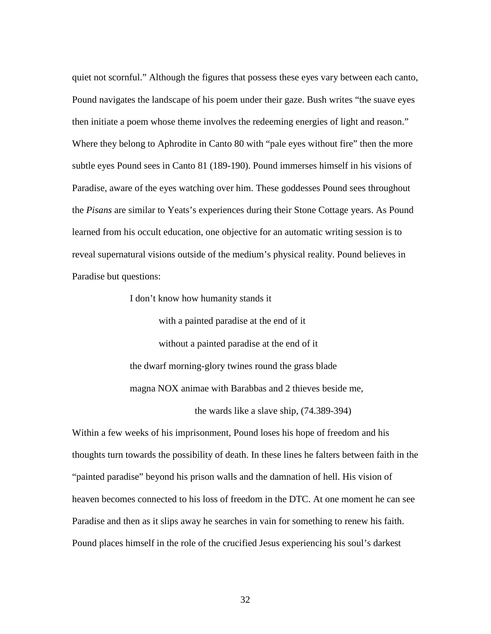quiet not scornful." Although the figures that possess these eyes vary between each canto, Pound navigates the landscape of his poem under their gaze. Bush writes "the suave eyes then initiate a poem whose theme involves the redeeming energies of light and reason." Where they belong to Aphrodite in Canto 80 with "pale eyes without fire" then the more subtle eyes Pound sees in Canto 81 (189-190). Pound immerses himself in his visions of Paradise, aware of the eyes watching over him. These goddesses Pound sees throughout the *Pisans* are similar to Yeats's experiences during their Stone Cottage years. As Pound learned from his occult education, one objective for an automatic writing session is to reveal supernatural visions outside of the medium's physical reality. Pound believes in Paradise but questions:

I don't know how humanity stands it

 with a painted paradise at the end of it without a painted paradise at the end of it the dwarf morning-glory twines round the grass blade magna NOX animae with Barabbas and 2 thieves beside me,

the wards like a slave ship, (74.389-394)

Within a few weeks of his imprisonment, Pound loses his hope of freedom and his thoughts turn towards the possibility of death. In these lines he falters between faith in the "painted paradise" beyond his prison walls and the damnation of hell. His vision of heaven becomes connected to his loss of freedom in the DTC. At one moment he can see Paradise and then as it slips away he searches in vain for something to renew his faith. Pound places himself in the role of the crucified Jesus experiencing his soul's darkest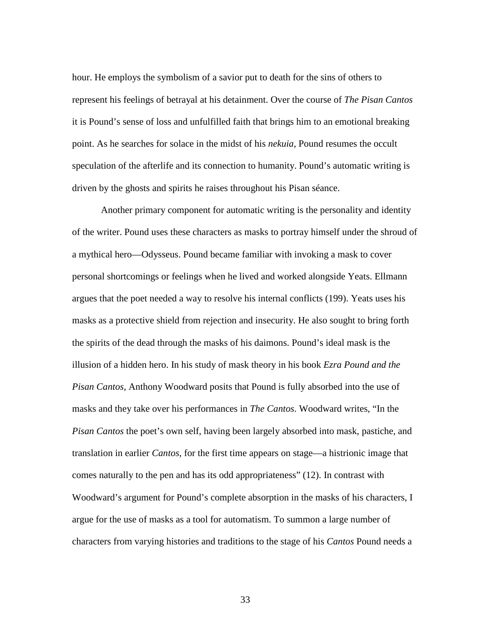hour. He employs the symbolism of a savior put to death for the sins of others to represent his feelings of betrayal at his detainment. Over the course of *The Pisan Cantos* it is Pound's sense of loss and unfulfilled faith that brings him to an emotional breaking point. As he searches for solace in the midst of his *nekuia*, Pound resumes the occult speculation of the afterlife and its connection to humanity. Pound's automatic writing is driven by the ghosts and spirits he raises throughout his Pisan séance.

Another primary component for automatic writing is the personality and identity of the writer. Pound uses these characters as masks to portray himself under the shroud of a mythical hero—Odysseus. Pound became familiar with invoking a mask to cover personal shortcomings or feelings when he lived and worked alongside Yeats. Ellmann argues that the poet needed a way to resolve his internal conflicts (199). Yeats uses his masks as a protective shield from rejection and insecurity. He also sought to bring forth the spirits of the dead through the masks of his daimons. Pound's ideal mask is the illusion of a hidden hero. In his study of mask theory in his book *Ezra Pound and the Pisan Cantos*, Anthony Woodward posits that Pound is fully absorbed into the use of masks and they take over his performances in *The Cantos*. Woodward writes, "In the *Pisan Cantos* the poet's own self, having been largely absorbed into mask, pastiche, and translation in earlier *Cantos*, for the first time appears on stage—a histrionic image that comes naturally to the pen and has its odd appropriateness" (12). In contrast with Woodward's argument for Pound's complete absorption in the masks of his characters, I argue for the use of masks as a tool for automatism. To summon a large number of characters from varying histories and traditions to the stage of his *Cantos* Pound needs a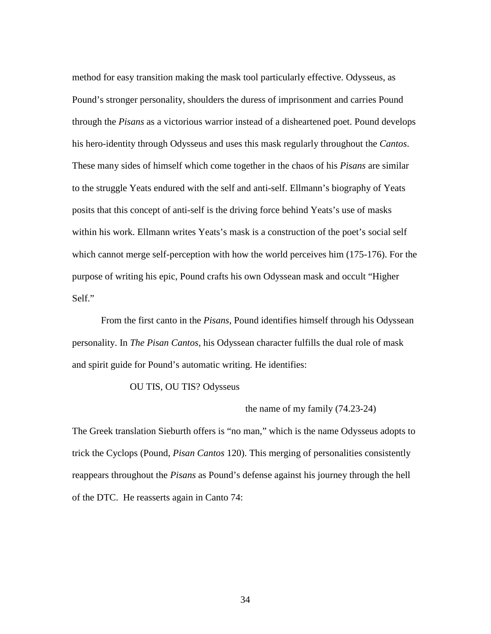method for easy transition making the mask tool particularly effective. Odysseus, as Pound's stronger personality, shoulders the duress of imprisonment and carries Pound through the *Pisans* as a victorious warrior instead of a disheartened poet. Pound develops his hero-identity through Odysseus and uses this mask regularly throughout the *Cantos*. These many sides of himself which come together in the chaos of his *Pisans* are similar to the struggle Yeats endured with the self and anti-self. Ellmann's biography of Yeats posits that this concept of anti-self is the driving force behind Yeats's use of masks within his work. Ellmann writes Yeats's mask is a construction of the poet's social self which cannot merge self-perception with how the world perceives him (175-176). For the purpose of writing his epic, Pound crafts his own Odyssean mask and occult "Higher Self."

From the first canto in the *Pisans*, Pound identifies himself through his Odyssean personality. In *The Pisan Cantos,* his Odyssean character fulfills the dual role of mask and spirit guide for Pound's automatic writing. He identifies:

#### OU TIS, OU TIS? Odysseus

#### the name of my family (74.23-24)

The Greek translation Sieburth offers is "no man," which is the name Odysseus adopts to trick the Cyclops (Pound, *Pisan Cantos* 120). This merging of personalities consistently reappears throughout the *Pisans* as Pound's defense against his journey through the hell of the DTC. He reasserts again in Canto 74: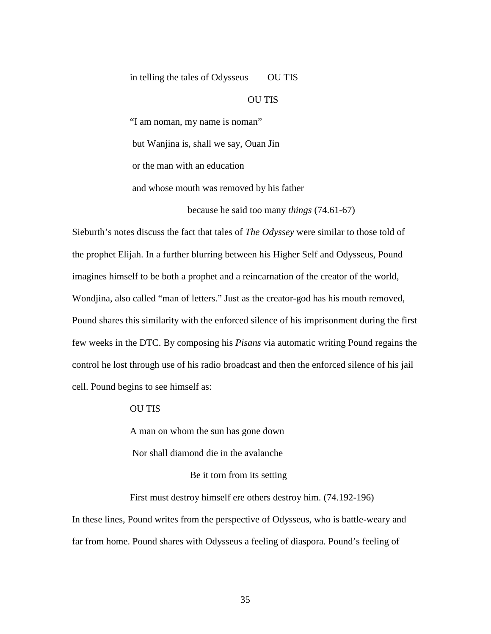#### in telling the tales of Odysseus OU TIS

#### OU TIS

"I am noman, my name is noman"

but Wanjina is, shall we say, Ouan Jin

or the man with an education

and whose mouth was removed by his father

because he said too many *things* (74.61-67)

Sieburth's notes discuss the fact that tales of *The Odyssey* were similar to those told of the prophet Elijah. In a further blurring between his Higher Self and Odysseus, Pound imagines himself to be both a prophet and a reincarnation of the creator of the world, Wondjina, also called "man of letters." Just as the creator-god has his mouth removed, Pound shares this similarity with the enforced silence of his imprisonment during the first few weeks in the DTC. By composing his *Pisans* via automatic writing Pound regains the control he lost through use of his radio broadcast and then the enforced silence of his jail cell. Pound begins to see himself as:

OU TIS

A man on whom the sun has gone down

Nor shall diamond die in the avalanche

#### Be it torn from its setting

First must destroy himself ere others destroy him. (74.192-196)

In these lines, Pound writes from the perspective of Odysseus, who is battle-weary and far from home. Pound shares with Odysseus a feeling of diaspora. Pound's feeling of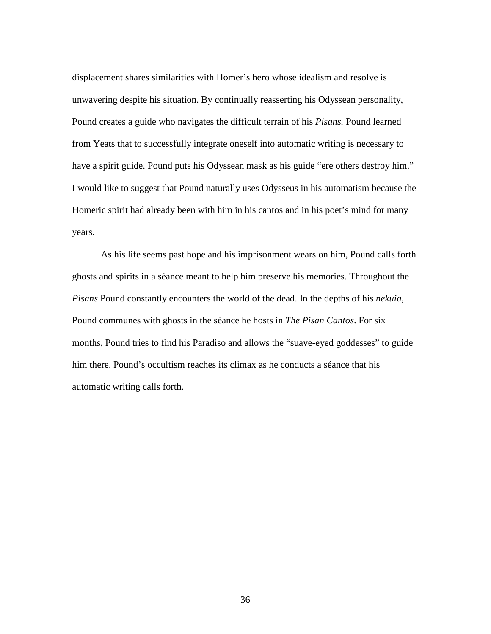displacement shares similarities with Homer's hero whose idealism and resolve is unwavering despite his situation. By continually reasserting his Odyssean personality, Pound creates a guide who navigates the difficult terrain of his *Pisans.* Pound learned from Yeats that to successfully integrate oneself into automatic writing is necessary to have a spirit guide. Pound puts his Odyssean mask as his guide "ere others destroy him." I would like to suggest that Pound naturally uses Odysseus in his automatism because the Homeric spirit had already been with him in his cantos and in his poet's mind for many years.

As his life seems past hope and his imprisonment wears on him, Pound calls forth ghosts and spirits in a séance meant to help him preserve his memories. Throughout the *Pisans* Pound constantly encounters the world of the dead. In the depths of his *nekuia*, Pound communes with ghosts in the séance he hosts in *The Pisan Cantos*. For six months, Pound tries to find his Paradiso and allows the "suave-eyed goddesses" to guide him there. Pound's occultism reaches its climax as he conducts a séance that his automatic writing calls forth.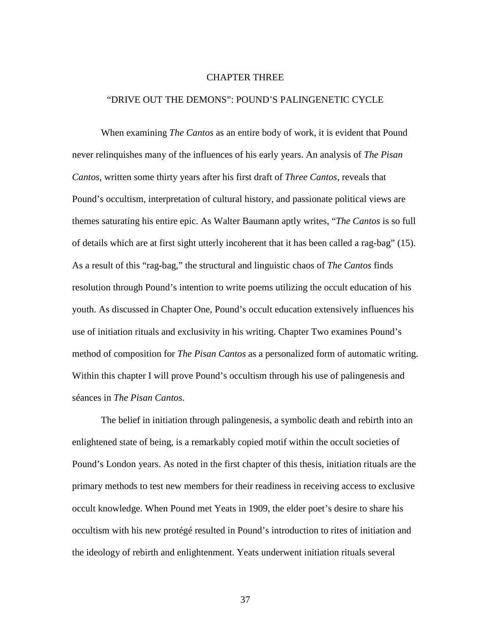#### CHAPTER THREE

#### "DRIVE OUT THE DEMONS": POUND'S PALINGENETIC CYCLE

When examining *The Cantos* as an entire body of work, it is evident that Pound never relinquishes many of the influences of his early years. An analysis of *The Pisan Cantos*, written some thirty years after his first draft of *Three Cantos*, reveals that Pound's occultism, interpretation of cultural history, and passionate political views are themes saturating his entire epic. As Walter Baumann aptly writes, "*The Cantos* is so full of details which are at first sight utterly incoherent that it has been called a rag-bag" (15). As a result of this "rag-bag," the structural and linguistic chaos of *The Cantos* finds resolution through Pound's intention to write poems utilizing the occult education of his youth. As discussed in Chapter One, Pound's occult education extensively influences his use of initiation rituals and exclusivity in his writing. Chapter Two examines Pound's method of composition for *The Pisan Cantos* as a personalized form of automatic writing. Within this chapter I will prove Pound's occultism through his use of palingenesis and séances in *The Pisan Cantos*.

 The belief in initiation through palingenesis, a symbolic death and rebirth into an enlightened state of being, is a remarkably copied motif within the occult societies of Pound's London years. As noted in the first chapter of this thesis, initiation rituals are the primary methods to test new members for their readiness in receiving access to exclusive occult knowledge. When Pound met Yeats in 1909, the elder poet's desire to share his occultism with his new protégé resulted in Pound's introduction to rites of initiation and the ideology of rebirth and enlightenment. Yeats underwent initiation rituals several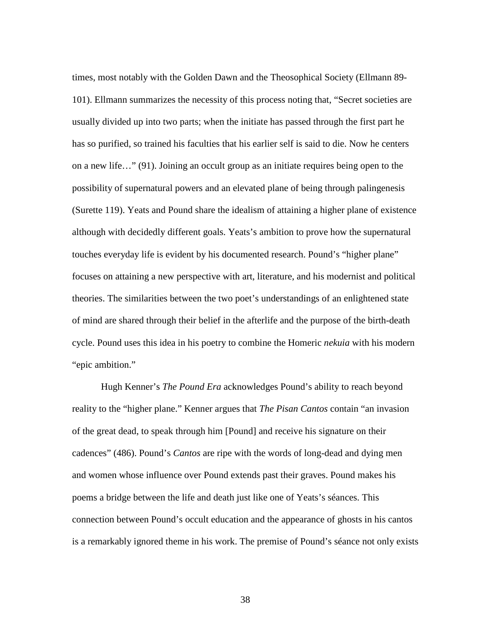times, most notably with the Golden Dawn and the Theosophical Society (Ellmann 89- 101). Ellmann summarizes the necessity of this process noting that, "Secret societies are usually divided up into two parts; when the initiate has passed through the first part he has so purified, so trained his faculties that his earlier self is said to die. Now he centers on a new life…" (91). Joining an occult group as an initiate requires being open to the possibility of supernatural powers and an elevated plane of being through palingenesis (Surette 119). Yeats and Pound share the idealism of attaining a higher plane of existence although with decidedly different goals. Yeats's ambition to prove how the supernatural touches everyday life is evident by his documented research. Pound's "higher plane" focuses on attaining a new perspective with art, literature, and his modernist and political theories. The similarities between the two poet's understandings of an enlightened state of mind are shared through their belief in the afterlife and the purpose of the birth-death cycle. Pound uses this idea in his poetry to combine the Homeric *nekuia* with his modern "epic ambition."

Hugh Kenner's *The Pound Era* acknowledges Pound's ability to reach beyond reality to the "higher plane." Kenner argues that *The Pisan Cantos* contain "an invasion of the great dead, to speak through him [Pound] and receive his signature on their cadences" (486). Pound's *Cantos* are ripe with the words of long-dead and dying men and women whose influence over Pound extends past their graves. Pound makes his poems a bridge between the life and death just like one of Yeats's séances. This connection between Pound's occult education and the appearance of ghosts in his cantos is a remarkably ignored theme in his work. The premise of Pound's séance not only exists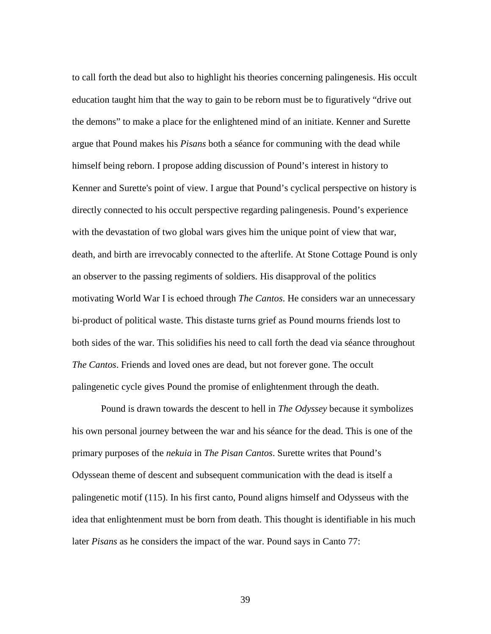to call forth the dead but also to highlight his theories concerning palingenesis. His occult education taught him that the way to gain to be reborn must be to figuratively "drive out the demons" to make a place for the enlightened mind of an initiate. Kenner and Surette argue that Pound makes his *Pisans* both a séance for communing with the dead while himself being reborn. I propose adding discussion of Pound's interest in history to Kenner and Surette's point of view. I argue that Pound's cyclical perspective on history is directly connected to his occult perspective regarding palingenesis. Pound's experience with the devastation of two global wars gives him the unique point of view that war, death, and birth are irrevocably connected to the afterlife. At Stone Cottage Pound is only an observer to the passing regiments of soldiers. His disapproval of the politics motivating World War I is echoed through *The Cantos*. He considers war an unnecessary bi-product of political waste. This distaste turns grief as Pound mourns friends lost to both sides of the war. This solidifies his need to call forth the dead via séance throughout *The Cantos*. Friends and loved ones are dead, but not forever gone. The occult palingenetic cycle gives Pound the promise of enlightenment through the death.

Pound is drawn towards the descent to hell in *The Odyssey* because it symbolizes his own personal journey between the war and his séance for the dead. This is one of the primary purposes of the *nekuia* in *The Pisan Cantos*. Surette writes that Pound's Odyssean theme of descent and subsequent communication with the dead is itself a palingenetic motif (115). In his first canto, Pound aligns himself and Odysseus with the idea that enlightenment must be born from death. This thought is identifiable in his much later *Pisans* as he considers the impact of the war. Pound says in Canto 77: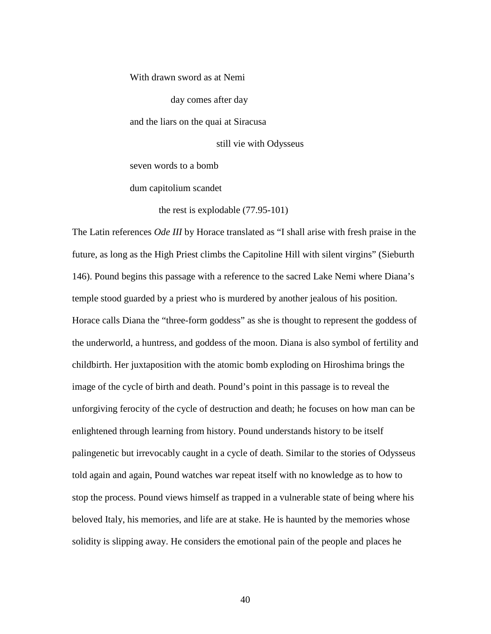With drawn sword as at Nemi day comes after day and the liars on the quai at Siracusa still vie with Odysseus seven words to a bomb

the rest is explodable (77.95-101)

dum capitolium scandet

The Latin references *Ode III* by Horace translated as "I shall arise with fresh praise in the future, as long as the High Priest climbs the Capitoline Hill with silent virgins" (Sieburth 146). Pound begins this passage with a reference to the sacred Lake Nemi where Diana's temple stood guarded by a priest who is murdered by another jealous of his position. Horace calls Diana the "three-form goddess" as she is thought to represent the goddess of the underworld, a huntress, and goddess of the moon. Diana is also symbol of fertility and childbirth. Her juxtaposition with the atomic bomb exploding on Hiroshima brings the image of the cycle of birth and death. Pound's point in this passage is to reveal the unforgiving ferocity of the cycle of destruction and death; he focuses on how man can be enlightened through learning from history. Pound understands history to be itself palingenetic but irrevocably caught in a cycle of death. Similar to the stories of Odysseus told again and again, Pound watches war repeat itself with no knowledge as to how to stop the process. Pound views himself as trapped in a vulnerable state of being where his beloved Italy, his memories, and life are at stake. He is haunted by the memories whose solidity is slipping away. He considers the emotional pain of the people and places he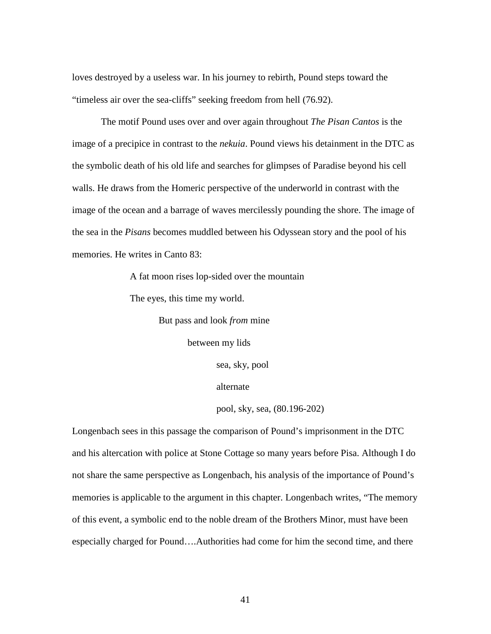loves destroyed by a useless war. In his journey to rebirth, Pound steps toward the "timeless air over the sea-cliffs" seeking freedom from hell (76.92).

 The motif Pound uses over and over again throughout *The Pisan Cantos* is the image of a precipice in contrast to the *nekuia*. Pound views his detainment in the DTC as the symbolic death of his old life and searches for glimpses of Paradise beyond his cell walls. He draws from the Homeric perspective of the underworld in contrast with the image of the ocean and a barrage of waves mercilessly pounding the shore. The image of the sea in the *Pisans* becomes muddled between his Odyssean story and the pool of his memories. He writes in Canto 83:

A fat moon rises lop-sided over the mountain

The eyes, this time my world.

But pass and look *from* mine

between my lids

sea, sky, pool

alternate

pool, sky, sea, (80.196-202)

Longenbach sees in this passage the comparison of Pound's imprisonment in the DTC and his altercation with police at Stone Cottage so many years before Pisa. Although I do not share the same perspective as Longenbach, his analysis of the importance of Pound's memories is applicable to the argument in this chapter. Longenbach writes, "The memory of this event, a symbolic end to the noble dream of the Brothers Minor, must have been especially charged for Pound….Authorities had come for him the second time, and there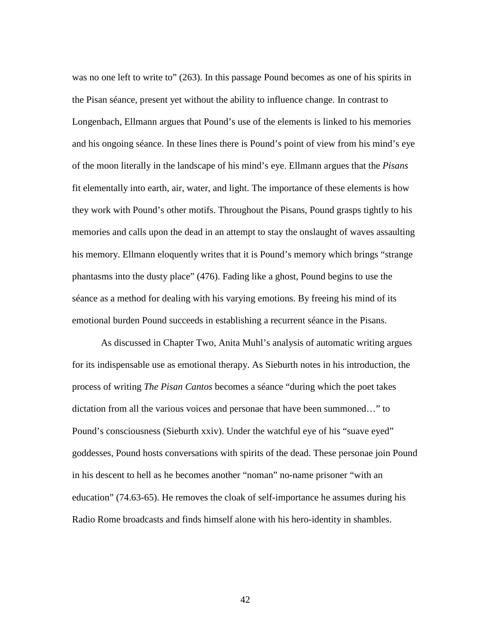was no one left to write to" (263). In this passage Pound becomes as one of his spirits in the Pisan séance, present yet without the ability to influence change. In contrast to Longenbach, Ellmann argues that Pound's use of the elements is linked to his memories and his ongoing séance. In these lines there is Pound's point of view from his mind's eye of the moon literally in the landscape of his mind's eye. Ellmann argues that the *Pisans* fit elementally into earth, air, water, and light. The importance of these elements is how they work with Pound's other motifs. Throughout the Pisans, Pound grasps tightly to his memories and calls upon the dead in an attempt to stay the onslaught of waves assaulting his memory. Ellmann eloquently writes that it is Pound's memory which brings "strange phantasms into the dusty place" (476). Fading like a ghost, Pound begins to use the séance as a method for dealing with his varying emotions. By freeing his mind of its emotional burden Pound succeeds in establishing a recurrent séance in the Pisans.

As discussed in Chapter Two, Anita Muhl's analysis of automatic writing argues for its indispensable use as emotional therapy. As Sieburth notes in his introduction, the process of writing *The Pisan Cantos* becomes a séance "during which the poet takes dictation from all the various voices and personae that have been summoned…" to Pound's consciousness (Sieburth xxiv). Under the watchful eye of his "suave eyed" goddesses, Pound hosts conversations with spirits of the dead. These personae join Pound in his descent to hell as he becomes another "noman" no-name prisoner "with an education" (74.63-65). He removes the cloak of self-importance he assumes during his Radio Rome broadcasts and finds himself alone with his hero-identity in shambles.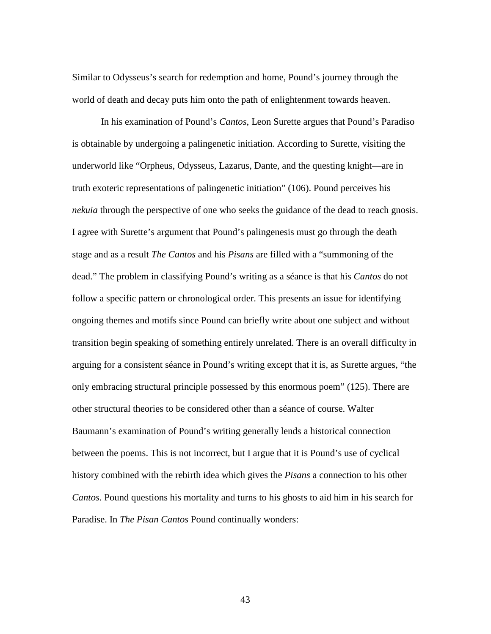Similar to Odysseus's search for redemption and home, Pound's journey through the world of death and decay puts him onto the path of enlightenment towards heaven.

In his examination of Pound's *Cantos*, Leon Surette argues that Pound's Paradiso is obtainable by undergoing a palingenetic initiation. According to Surette, visiting the underworld like "Orpheus, Odysseus, Lazarus, Dante, and the questing knight—are in truth exoteric representations of palingenetic initiation" (106). Pound perceives his *nekuia* through the perspective of one who seeks the guidance of the dead to reach gnosis. I agree with Surette's argument that Pound's palingenesis must go through the death stage and as a result *The Cantos* and his *Pisans* are filled with a "summoning of the dead." The problem in classifying Pound's writing as a séance is that his *Cantos* do not follow a specific pattern or chronological order. This presents an issue for identifying ongoing themes and motifs since Pound can briefly write about one subject and without transition begin speaking of something entirely unrelated. There is an overall difficulty in arguing for a consistent séance in Pound's writing except that it is, as Surette argues, "the only embracing structural principle possessed by this enormous poem" (125). There are other structural theories to be considered other than a séance of course. Walter Baumann's examination of Pound's writing generally lends a historical connection between the poems. This is not incorrect, but I argue that it is Pound's use of cyclical history combined with the rebirth idea which gives the *Pisans* a connection to his other *Cantos*. Pound questions his mortality and turns to his ghosts to aid him in his search for Paradise. In *The Pisan Cantos* Pound continually wonders: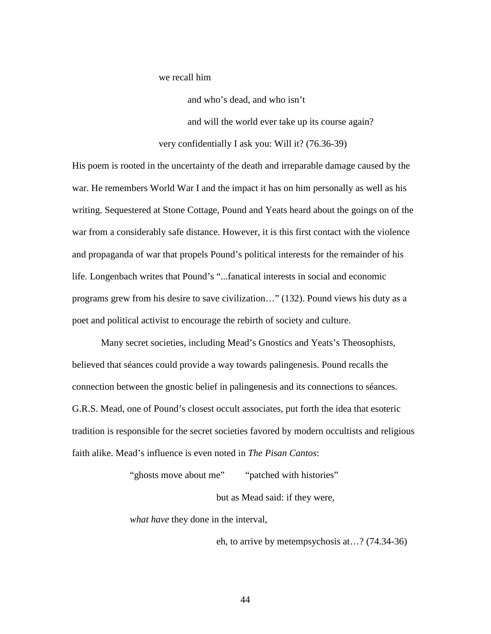we recall him

and who's dead, and who isn't

and will the world ever take up its course again?

very confidentially I ask you: Will it? (76.36-39)

His poem is rooted in the uncertainty of the death and irreparable damage caused by the war. He remembers World War I and the impact it has on him personally as well as his writing. Sequestered at Stone Cottage, Pound and Yeats heard about the goings on of the war from a considerably safe distance. However, it is this first contact with the violence and propaganda of war that propels Pound's political interests for the remainder of his life. Longenbach writes that Pound's "...fanatical interests in social and economic programs grew from his desire to save civilization…" (132). Pound views his duty as a poet and political activist to encourage the rebirth of society and culture.

Many secret societies, including Mead's Gnostics and Yeats's Theosophists, believed that séances could provide a way towards palingenesis. Pound recalls the connection between the gnostic belief in palingenesis and its connections to séances. G.R.S. Mead, one of Pound's closest occult associates, put forth the idea that esoteric tradition is responsible for the secret societies favored by modern occultists and religious faith alike. Mead's influence is even noted in *The Pisan Cantos*:

> "ghosts move about me" "patched with histories" but as Mead said: if they were,

*what have* they done in the interval,

eh, to arrive by metempsychosis at…? (74.34-36)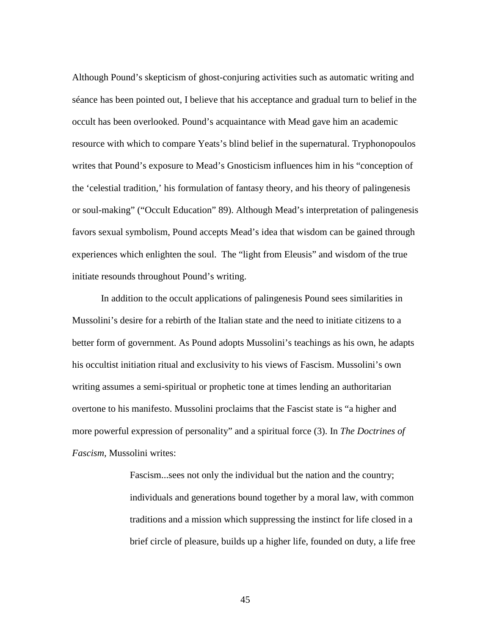Although Pound's skepticism of ghost-conjuring activities such as automatic writing and séance has been pointed out, I believe that his acceptance and gradual turn to belief in the occult has been overlooked. Pound's acquaintance with Mead gave him an academic resource with which to compare Yeats's blind belief in the supernatural. Tryphonopoulos writes that Pound's exposure to Mead's Gnosticism influences him in his "conception of the 'celestial tradition,' his formulation of fantasy theory, and his theory of palingenesis or soul-making" ("Occult Education" 89). Although Mead's interpretation of palingenesis favors sexual symbolism, Pound accepts Mead's idea that wisdom can be gained through experiences which enlighten the soul. The "light from Eleusis" and wisdom of the true initiate resounds throughout Pound's writing.

In addition to the occult applications of palingenesis Pound sees similarities in Mussolini's desire for a rebirth of the Italian state and the need to initiate citizens to a better form of government. As Pound adopts Mussolini's teachings as his own, he adapts his occultist initiation ritual and exclusivity to his views of Fascism. Mussolini's own writing assumes a semi-spiritual or prophetic tone at times lending an authoritarian overtone to his manifesto. Mussolini proclaims that the Fascist state is "a higher and more powerful expression of personality" and a spiritual force (3). In *The Doctrines of Fascism,* Mussolini writes:

> Fascism...sees not only the individual but the nation and the country; individuals and generations bound together by a moral law, with common traditions and a mission which suppressing the instinct for life closed in a brief circle of pleasure, builds up a higher life, founded on duty, a life free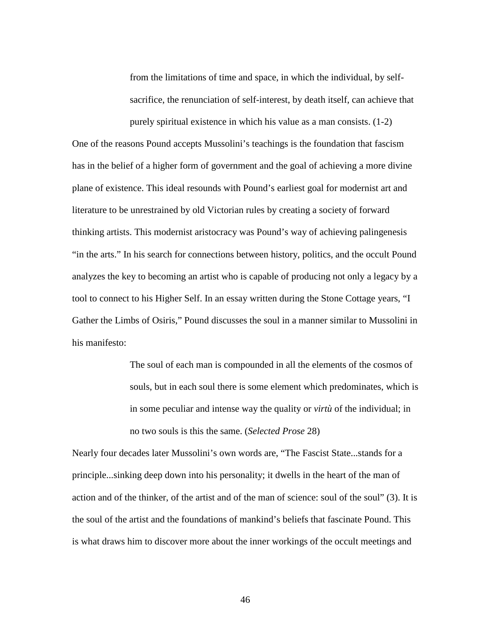from the limitations of time and space, in which the individual, by selfsacrifice, the renunciation of self-interest, by death itself, can achieve that purely spiritual existence in which his value as a man consists. (1-2)

One of the reasons Pound accepts Mussolini's teachings is the foundation that fascism has in the belief of a higher form of government and the goal of achieving a more divine plane of existence. This ideal resounds with Pound's earliest goal for modernist art and literature to be unrestrained by old Victorian rules by creating a society of forward thinking artists. This modernist aristocracy was Pound's way of achieving palingenesis "in the arts." In his search for connections between history, politics, and the occult Pound analyzes the key to becoming an artist who is capable of producing not only a legacy by a tool to connect to his Higher Self. In an essay written during the Stone Cottage years, "I Gather the Limbs of Osiris," Pound discusses the soul in a manner similar to Mussolini in his manifesto:

> The soul of each man is compounded in all the elements of the cosmos of souls, but in each soul there is some element which predominates, which is in some peculiar and intense way the quality or *virtù* of the individual; in no two souls is this the same. (*Selected Prose* 28)

Nearly four decades later Mussolini's own words are, "The Fascist State...stands for a principle...sinking deep down into his personality; it dwells in the heart of the man of action and of the thinker, of the artist and of the man of science: soul of the soul" (3). It is the soul of the artist and the foundations of mankind's beliefs that fascinate Pound. This is what draws him to discover more about the inner workings of the occult meetings and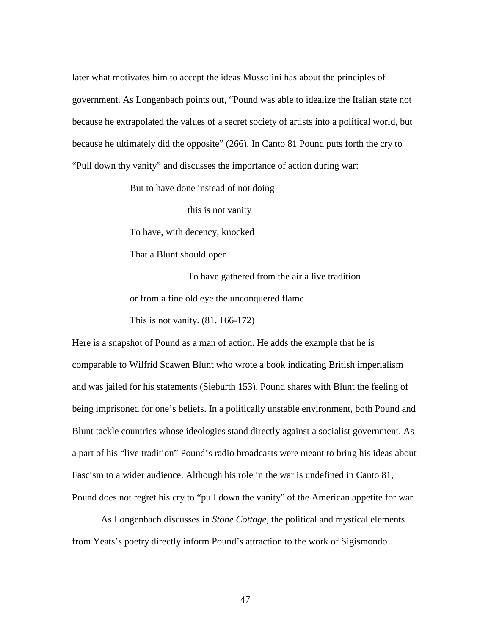later what motivates him to accept the ideas Mussolini has about the principles of government. As Longenbach points out, "Pound was able to idealize the Italian state not because he extrapolated the values of a secret society of artists into a political world, but because he ultimately did the opposite" (266). In Canto 81 Pound puts forth the cry to "Pull down thy vanity" and discusses the importance of action during war:

But to have done instead of not doing

this is not vanity

To have, with decency, knocked

That a Blunt should open

To have gathered from the air a live tradition or from a fine old eye the unconquered flame This is not vanity. (81. 166-172)

Here is a snapshot of Pound as a man of action. He adds the example that he is comparable to Wilfrid Scawen Blunt who wrote a book indicating British imperialism and was jailed for his statements (Sieburth 153). Pound shares with Blunt the feeling of being imprisoned for one's beliefs. In a politically unstable environment, both Pound and Blunt tackle countries whose ideologies stand directly against a socialist government. As a part of his "live tradition" Pound's radio broadcasts were meant to bring his ideas about Fascism to a wider audience. Although his role in the war is undefined in Canto 81, Pound does not regret his cry to "pull down the vanity" of the American appetite for war.

As Longenbach discusses in *Stone Cottage*, the political and mystical elements from Yeats's poetry directly inform Pound's attraction to the work of Sigismondo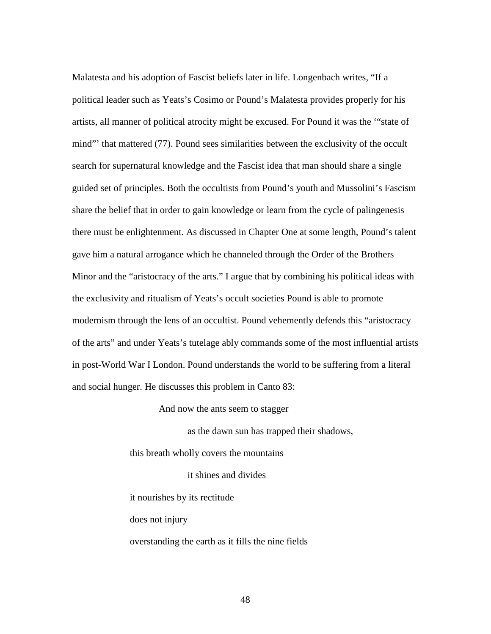Malatesta and his adoption of Fascist beliefs later in life. Longenbach writes, "If a political leader such as Yeats's Cosimo or Pound's Malatesta provides properly for his artists, all manner of political atrocity might be excused. For Pound it was the '"state of mind" that mattered (77). Pound sees similarities between the exclusivity of the occult search for supernatural knowledge and the Fascist idea that man should share a single guided set of principles. Both the occultists from Pound's youth and Mussolini's Fascism share the belief that in order to gain knowledge or learn from the cycle of palingenesis there must be enlightenment. As discussed in Chapter One at some length, Pound's talent gave him a natural arrogance which he channeled through the Order of the Brothers Minor and the "aristocracy of the arts." I argue that by combining his political ideas with the exclusivity and ritualism of Yeats's occult societies Pound is able to promote modernism through the lens of an occultist. Pound vehemently defends this "aristocracy of the arts" and under Yeats's tutelage ably commands some of the most influential artists in post-World War I London. Pound understands the world to be suffering from a literal and social hunger. He discusses this problem in Canto 83:

And now the ants seem to stagger

as the dawn sun has trapped their shadows,

this breath wholly covers the mountains

it shines and divides

it nourishes by its rectitude

does not injury

overstanding the earth as it fills the nine fields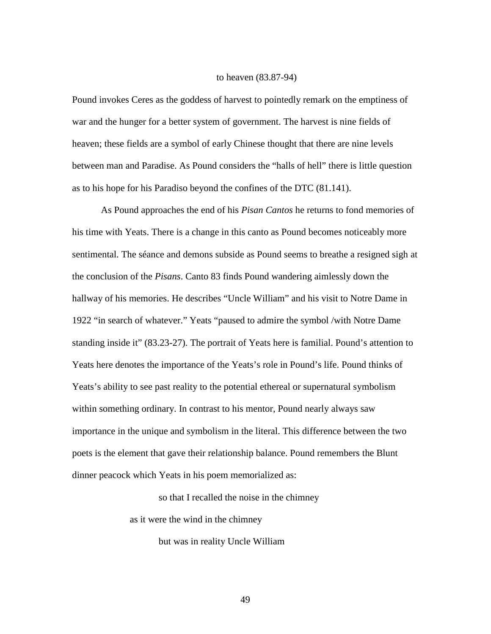#### to heaven (83.87-94)

Pound invokes Ceres as the goddess of harvest to pointedly remark on the emptiness of war and the hunger for a better system of government. The harvest is nine fields of heaven; these fields are a symbol of early Chinese thought that there are nine levels between man and Paradise. As Pound considers the "halls of hell" there is little question as to his hope for his Paradiso beyond the confines of the DTC (81.141).

As Pound approaches the end of his *Pisan Cantos* he returns to fond memories of his time with Yeats. There is a change in this canto as Pound becomes noticeably more sentimental. The séance and demons subside as Pound seems to breathe a resigned sigh at the conclusion of the *Pisans*. Canto 83 finds Pound wandering aimlessly down the hallway of his memories. He describes "Uncle William" and his visit to Notre Dame in 1922 "in search of whatever." Yeats "paused to admire the symbol /with Notre Dame standing inside it" (83.23-27). The portrait of Yeats here is familial. Pound's attention to Yeats here denotes the importance of the Yeats's role in Pound's life. Pound thinks of Yeats's ability to see past reality to the potential ethereal or supernatural symbolism within something ordinary. In contrast to his mentor, Pound nearly always saw importance in the unique and symbolism in the literal. This difference between the two poets is the element that gave their relationship balance. Pound remembers the Blunt dinner peacock which Yeats in his poem memorialized as:

so that I recalled the noise in the chimney

as it were the wind in the chimney

but was in reality Uncle William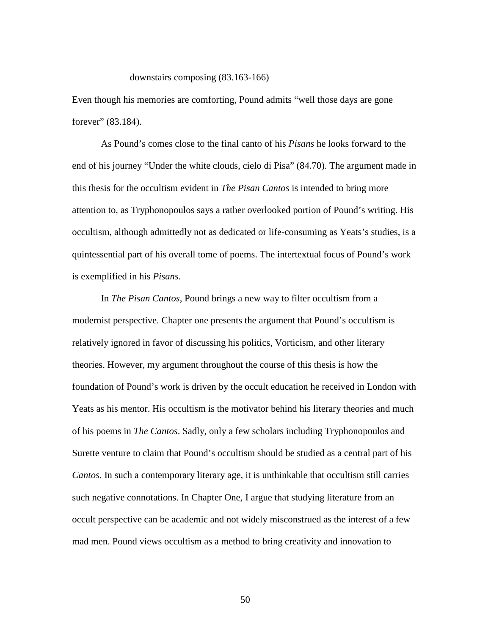downstairs composing (83.163-166)

Even though his memories are comforting, Pound admits "well those days are gone forever" (83.184).

As Pound's comes close to the final canto of his *Pisans* he looks forward to the end of his journey "Under the white clouds, cielo di Pisa" (84.70). The argument made in this thesis for the occultism evident in *The Pisan Cantos* is intended to bring more attention to, as Tryphonopoulos says a rather overlooked portion of Pound's writing. His occultism, although admittedly not as dedicated or life-consuming as Yeats's studies, is a quintessential part of his overall tome of poems. The intertextual focus of Pound's work is exemplified in his *Pisans*.

In *The Pisan Cantos*, Pound brings a new way to filter occultism from a modernist perspective. Chapter one presents the argument that Pound's occultism is relatively ignored in favor of discussing his politics, Vorticism, and other literary theories. However, my argument throughout the course of this thesis is how the foundation of Pound's work is driven by the occult education he received in London with Yeats as his mentor. His occultism is the motivator behind his literary theories and much of his poems in *The Cantos*. Sadly, only a few scholars including Tryphonopoulos and Surette venture to claim that Pound's occultism should be studied as a central part of his *Cantos*. In such a contemporary literary age, it is unthinkable that occultism still carries such negative connotations. In Chapter One, I argue that studying literature from an occult perspective can be academic and not widely misconstrued as the interest of a few mad men. Pound views occultism as a method to bring creativity and innovation to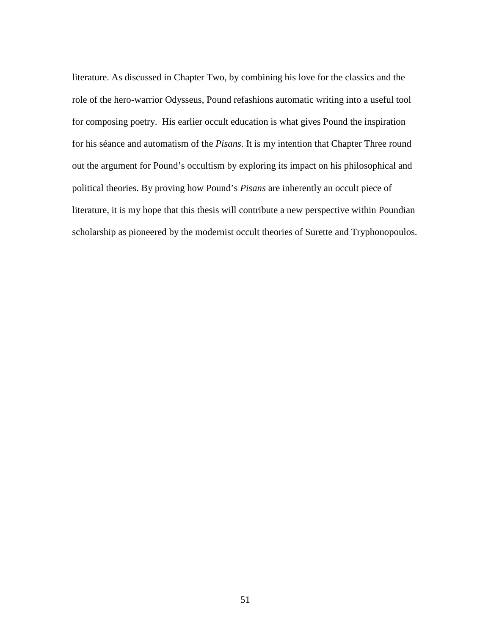literature. As discussed in Chapter Two, by combining his love for the classics and the role of the hero-warrior Odysseus, Pound refashions automatic writing into a useful tool for composing poetry. His earlier occult education is what gives Pound the inspiration for his séance and automatism of the *Pisans*. It is my intention that Chapter Three round out the argument for Pound's occultism by exploring its impact on his philosophical and political theories. By proving how Pound's *Pisans* are inherently an occult piece of literature, it is my hope that this thesis will contribute a new perspective within Poundian scholarship as pioneered by the modernist occult theories of Surette and Tryphonopoulos.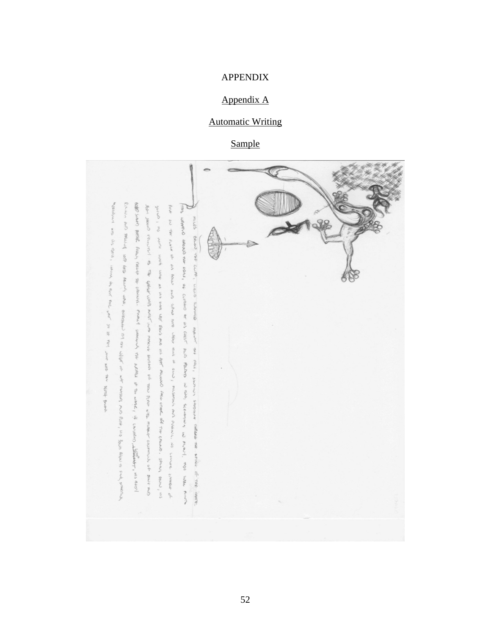### APPENDIX

# Appendix A

# **Automatic Writing**

Sample

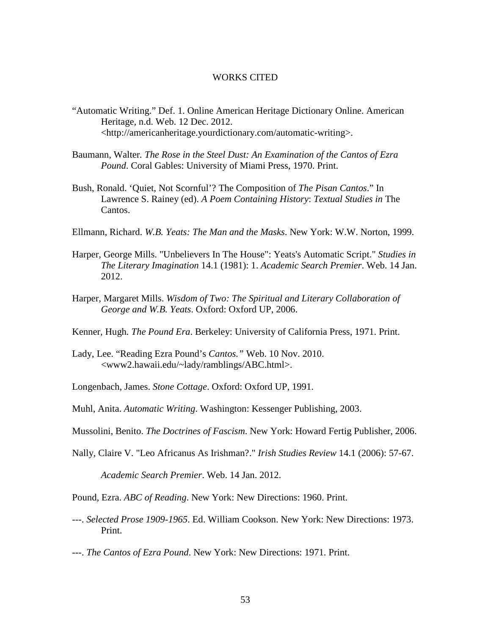#### WORKS CITED

- "Automatic Writing." Def. 1. Online American Heritage Dictionary Online. American Heritage, n.d. Web. 12 Dec. 2012. <http://americanheritage.yourdictionary.com/automatic-writing>.
- Baumann, Walter*. The Rose in the Steel Dust: An Examination of the Cantos of Ezra Pound*. Coral Gables: University of Miami Press, 1970. Print.
- Bush, Ronald. 'Quiet, Not Scornful'? The Composition of *The Pisan Cantos*." In Lawrence S. Rainey (ed). *A Poem Containing History*: *Textual Studies in* The Cantos.
- Ellmann, Richard. *W.B. Yeats: The Man and the Masks*. New York: W.W. Norton, 1999.
- Harper, George Mills. "Unbelievers In The House": Yeats's Automatic Script." *Studies in The Literary Imagination* 14.1 (1981): 1. *Academic Search Premier*. Web. 14 Jan. 2012.
- Harper, Margaret Mills. *Wisdom of Two: The Spiritual and Literary Collaboration of George and W.B. Yeats*. Oxford: Oxford UP, 2006.
- Kenner, Hugh*. The Pound Era*. Berkeley: University of California Press, 1971. Print.
- Lady, Lee. "Reading Ezra Pound's *Cantos."* Web. 10 Nov. 2010. <www2.hawaii.edu/~lady/ramblings/ABC.html>.
- Longenbach, James. *Stone Cottage*. Oxford: Oxford UP, 1991.
- Muhl, Anita. *Automatic Writing*. Washington: Kessenger Publishing, 2003.
- Mussolini, Benito. *The Doctrines of Fascism*. New York: Howard Fertig Publisher, 2006.
- Nally, Claire V. "Leo Africanus As Irishman?." *Irish Studies Review* 14.1 (2006): 57-67.

*Academic Search Premier*. Web. 14 Jan. 2012.

- Pound, Ezra. *ABC of Reading*. New York: New Directions: 1960. Print.
- ---. *Selected Prose 1909-1965*. Ed. William Cookson. New York: New Directions: 1973. Print.
- ---. *The Cantos of Ezra Pound*. New York: New Directions: 1971. Print.